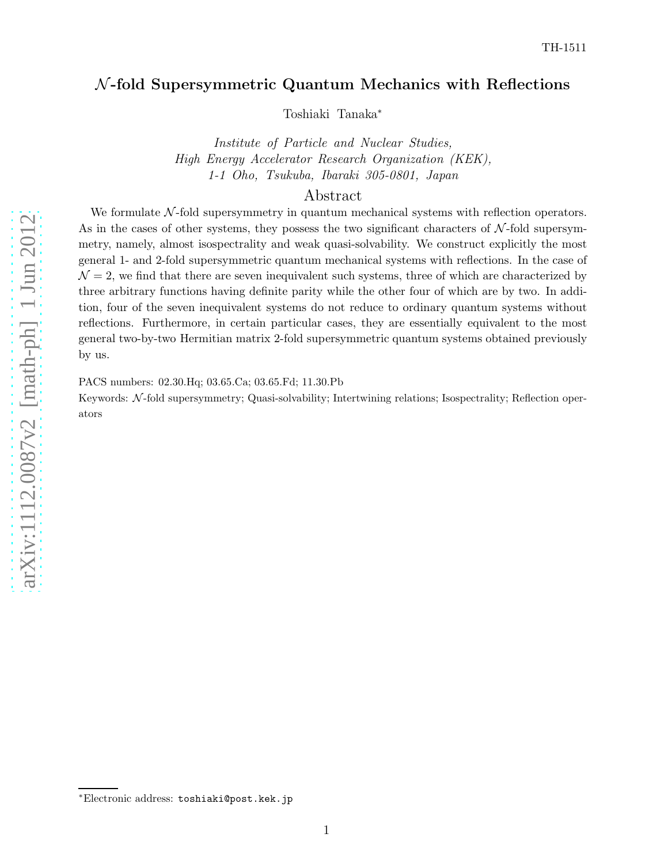# $N$ -fold Supersymmetric Quantum Mechanics with Reflections

Toshiaki Tanaka ∗

Institute of Particle and Nuclear Studies, High Energy Accelerator Research Organization (KEK), 1-1 Oho, Tsukuba, Ibaraki 305-0801, Japan

# Abstract

We formulate  $N$ -fold supersymmetry in quantum mechanical systems with reflection operators. As in the cases of other systems, they possess the two significant characters of  $N$ -fold supersymmetry, namely, almost isospectrality and weak quasi-solvability. We construct explicitly the most general 1- and 2-fold supersymmetric quantum mechanical systems with reflections. In the case of  $\mathcal{N}=2$ , we find that there are seven inequivalent such systems, three of which are characterized by three arbitrary functions having definite parity while the other four of which are by two. In addition, four of the seven inequivalent systems do not reduce to ordinary quantum systems without reflections. Furthermore, in certain particular cases, they are essentially equivalent to the most general two-by-two Hermitian matrix 2-fold supersymmetric quantum systems obtained previously by us.

PACS numbers: 02.30.Hq; 03.65.Ca; 03.65.Fd; 11.30.Pb

Keywords:  $\mathcal{N}\text{-fold supersymmetry}$ ; Quasi-solvability; Intertwining relations; Isospectrality; Reflection operators

<sup>∗</sup>Electronic address: toshiaki@post.kek.jp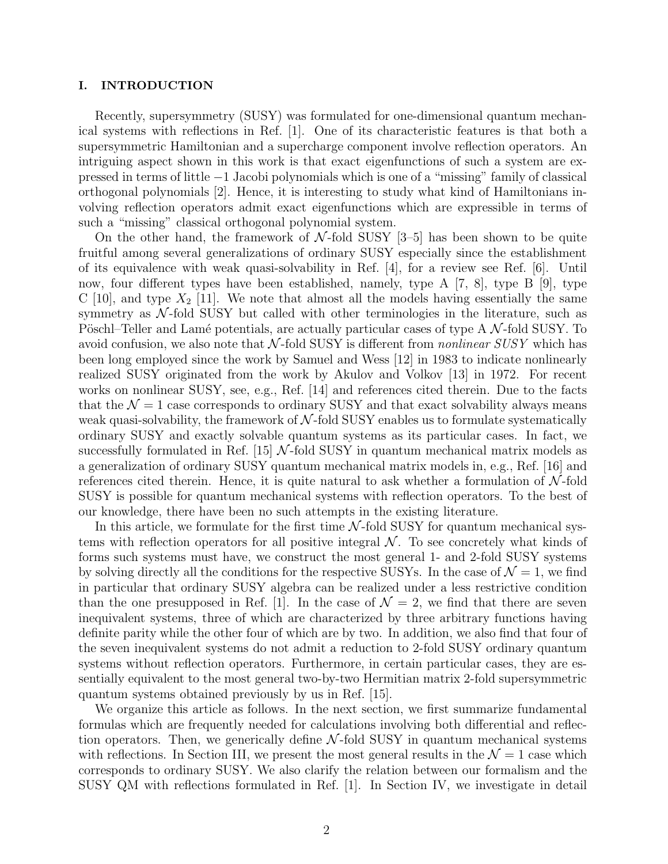# I. INTRODUCTION

Recently, supersymmetry (SUSY) was formulated for one-dimensional quantum mechanical systems with reflections in Ref. [1]. One of its characteristic features is that both a supersymmetric Hamiltonian and a supercharge component involve reflection operators. An intriguing aspect shown in this work is that exact eigenfunctions of such a system are expressed in terms of little −1 Jacobi polynomials which is one of a "missing" family of classical orthogonal polynomials [2]. Hence, it is interesting to study what kind of Hamiltonians involving reflection operators admit exact eigenfunctions which are expressible in terms of such a "missing" classical orthogonal polynomial system.

On the other hand, the framework of  $N$ -fold SUSY [3–5] has been shown to be quite fruitful among several generalizations of ordinary SUSY especially since the establishment of its equivalence with weak quasi-solvability in Ref. [4], for a review see Ref. [6]. Until now, four different types have been established, namely, type A [7, 8], type B [9], type C [10], and type  $X_2$  [11]. We note that almost all the models having essentially the same symmetry as  $\mathcal{N}\text{-fold SUSY}$  but called with other terminologies in the literature, such as Pöschl–Teller and Lamé potentials, are actually particular cases of type  $A \mathcal{N}$ -fold SUSY. To avoid confusion, we also note that  $N$ -fold SUSY is different from *nonlinear SUSY* which has been long employed since the work by Samuel and Wess [12] in 1983 to indicate nonlinearly realized SUSY originated from the work by Akulov and Volkov [13] in 1972. For recent works on nonlinear SUSY, see, e.g., Ref. [14] and references cited therein. Due to the facts that the  $\mathcal{N} = 1$  case corresponds to ordinary SUSY and that exact solvability always means weak quasi-solvability, the framework of  $N$ -fold SUSY enables us to formulate systematically ordinary SUSY and exactly solvable quantum systems as its particular cases. In fact, we successfully formulated in Ref. [15]  $\mathcal{N}$ -fold SUSY in quantum mechanical matrix models as a generalization of ordinary SUSY quantum mechanical matrix models in, e.g., Ref. [16] and references cited therein. Hence, it is quite natural to ask whether a formulation of  $\mathcal{N}\text{-fold}$ SUSY is possible for quantum mechanical systems with reflection operators. To the best of our knowledge, there have been no such attempts in the existing literature.

In this article, we formulate for the first time  $N$ -fold SUSY for quantum mechanical systems with reflection operators for all positive integral  $N$ . To see concretely what kinds of forms such systems must have, we construct the most general 1- and 2-fold SUSY systems by solving directly all the conditions for the respective SUSYs. In the case of  $\mathcal{N} = 1$ , we find in particular that ordinary SUSY algebra can be realized under a less restrictive condition than the one presupposed in Ref. [1]. In the case of  $\mathcal{N}=2$ , we find that there are seven inequivalent systems, three of which are characterized by three arbitrary functions having definite parity while the other four of which are by two. In addition, we also find that four of the seven inequivalent systems do not admit a reduction to 2-fold SUSY ordinary quantum systems without reflection operators. Furthermore, in certain particular cases, they are essentially equivalent to the most general two-by-two Hermitian matrix 2-fold supersymmetric quantum systems obtained previously by us in Ref. [15].

We organize this article as follows. In the next section, we first summarize fundamental formulas which are frequently needed for calculations involving both differential and reflection operators. Then, we generically define  $\mathcal{N}\text{-fold SUSY}$  in quantum mechanical systems with reflections. In Section III, we present the most general results in the  $\mathcal{N}=1$  case which corresponds to ordinary SUSY. We also clarify the relation between our formalism and the SUSY QM with reflections formulated in Ref. [1]. In Section IV, we investigate in detail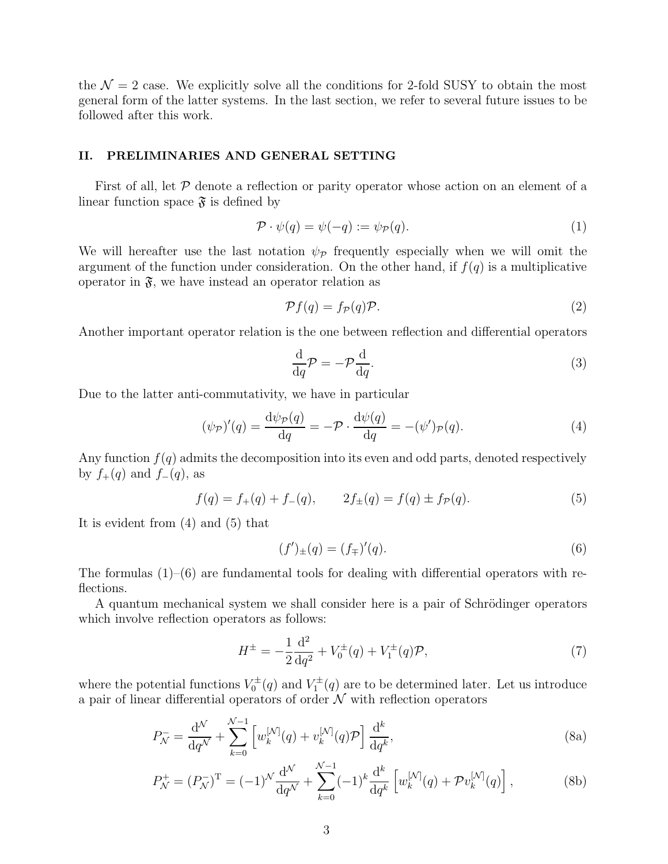the  $\mathcal{N} = 2$  case. We explicitly solve all the conditions for 2-fold SUSY to obtain the most general form of the latter systems. In the last section, we refer to several future issues to be followed after this work.

# II. PRELIMINARIES AND GENERAL SETTING

First of all, let  $\mathcal P$  denote a reflection or parity operator whose action on an element of a linear function space  $\mathfrak{F}$  is defined by

$$
\mathcal{P} \cdot \psi(q) = \psi(-q) := \psi_{\mathcal{P}}(q). \tag{1}
$$

We will hereafter use the last notation  $\psi_{\mathcal{P}}$  frequently especially when we will omit the argument of the function under consideration. On the other hand, if  $f(q)$  is a multiplicative operator in  $\mathfrak{F}$ , we have instead an operator relation as

$$
\mathcal{P}f(q) = f_{\mathcal{P}}(q)\mathcal{P}.\tag{2}
$$

Another important operator relation is the one between reflection and differential operators

$$
\frac{\mathrm{d}}{\mathrm{d}q}\mathcal{P} = -\mathcal{P}\frac{\mathrm{d}}{\mathrm{d}q}.\tag{3}
$$

Due to the latter anti-commutativity, we have in particular

$$
(\psi_{\mathcal{P}})'(q) = \frac{\mathrm{d}\psi_{\mathcal{P}}(q)}{\mathrm{d}q} = -\mathcal{P} \cdot \frac{\mathrm{d}\psi(q)}{\mathrm{d}q} = -(\psi')_{\mathcal{P}}(q). \tag{4}
$$

Any function  $f(q)$  admits the decomposition into its even and odd parts, denoted respectively by  $f_+(q)$  and  $f_-(q)$ , as

$$
f(q) = f_{+}(q) + f_{-}(q), \qquad 2f_{\pm}(q) = f(q) \pm f_{\mathcal{P}}(q). \tag{5}
$$

It is evident from (4) and (5) that

$$
(f')_{\pm}(q) = (f_{\mp})'(q). \tag{6}
$$

The formulas  $(1)$ – $(6)$  are fundamental tools for dealing with differential operators with reflections.

A quantum mechanical system we shall consider here is a pair of Schrödinger operators which involve reflection operators as follows:

$$
H^{\pm} = -\frac{1}{2}\frac{\mathrm{d}^2}{\mathrm{d}q^2} + V_0^{\pm}(q) + V_1^{\pm}(q)\mathcal{P},\tag{7}
$$

where the potential functions  $V_0^{\pm}$  $V_0^{\pm}(q)$  and  $V_1^{\pm}$  $\chi_1^{\pm}(q)$  are to be determined later. Let us introduce a pair of linear differential operators of order  $N$  with reflection operators

$$
P_{\mathcal{N}}^{-} = \frac{\mathrm{d}^{\mathcal{N}}}{\mathrm{d}q^{\mathcal{N}}} + \sum_{k=0}^{\mathcal{N}-1} \left[ w_k^{[\mathcal{N}]}(q) + v_k^{[\mathcal{N}]}(q)\mathcal{P} \right] \frac{\mathrm{d}^k}{\mathrm{d}q^k},\tag{8a}
$$

$$
P_N^+ = (P_N^-)^{\mathrm{T}} = (-1)^N \frac{\mathrm{d}^N}{\mathrm{d}q^N} + \sum_{k=0}^{N-1} (-1)^k \frac{\mathrm{d}^k}{\mathrm{d}q^k} \left[ w_k^{[N]}(q) + \mathcal{P} v_k^{[N]}(q) \right],\tag{8b}
$$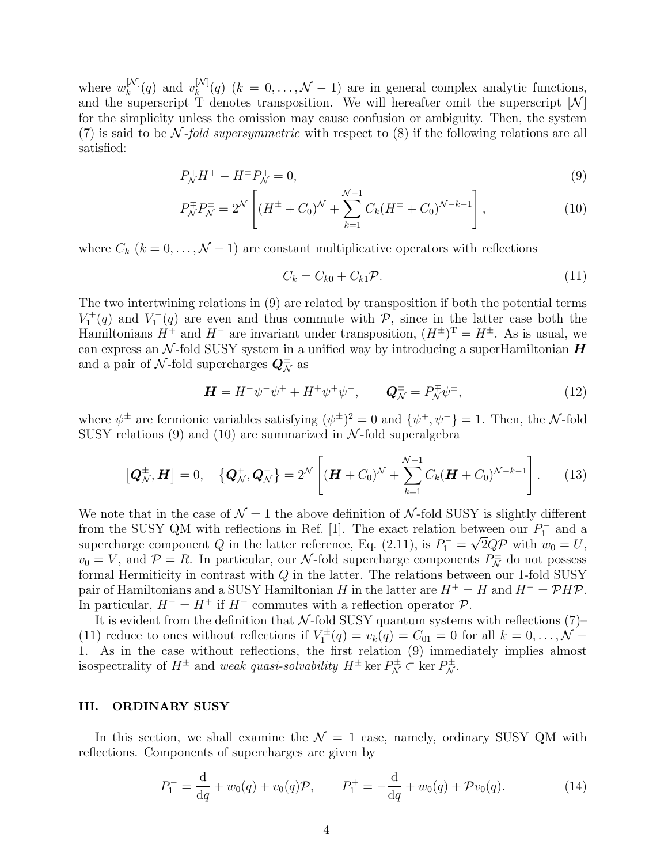where  $w_k^{[N]}(q)$  and  $v_k^{[N]}(q)$   $(k = 0, \ldots, \mathcal{N} - 1)$  are in general complex analytic functions, and the superscript T denotes transposition. We will hereafter omit the superscript  $[N]$ for the simplicity unless the omission may cause confusion or ambiguity. Then, the system (7) is said to be N-fold supersymmetric with respect to  $(8)$  if the following relations are all satisfied:

$$
P_N^{\pm}H^{\mp} - H^{\pm}P_N^{\mp} = 0,\tag{9}
$$

$$
P_N^{\pm} P_N^{\pm} = 2^{\mathcal{N}} \left[ (H^{\pm} + C_0)^{\mathcal{N}} + \sum_{k=1}^{\mathcal{N}-1} C_k (H^{\pm} + C_0)^{\mathcal{N}-k-1} \right],\tag{10}
$$

where  $C_k$   $(k = 0, \ldots, \mathcal{N} - 1)$  are constant multiplicative operators with reflections

$$
C_k = C_{k0} + C_{k1} \mathcal{P}.\tag{11}
$$

The two intertwining relations in (9) are related by transposition if both the potential terms  $V_1^+(q)$  and  $V_1^ \mathcal{I}_1^-(q)$  are even and thus commute with  $\mathcal{P}$ , since in the latter case both the Hamiltonians  $H^+$  and  $H^-$  are invariant under transposition,  $(H^{\pm})^T = H^{\pm}$ . As is usual, we can express an  $\mathcal{N}$ -fold SUSY system in a unified way by introducing a superHamiltonian  $\boldsymbol{H}$ and a pair of  $\mathcal{N}\text{-fold supercharges}$  as

$$
\mathbf{H} = H^{-} \psi^{-} \psi^{+} + H^{+} \psi^{+} \psi^{-}, \qquad \mathbf{Q}_{\mathcal{N}}^{\pm} = P_{\mathcal{N}}^{\mp} \psi^{\pm}, \tag{12}
$$

where  $\psi^{\pm}$  are fermionic variables satisfying  $(\psi^{\pm})^2 = 0$  and  $\{\psi^{\pm}, \psi^{\pm}\} = 1$ . Then, the N-fold SUSY relations (9) and (10) are summarized in  $\mathcal{N}\text{-fold superalgebra}$ 

$$
\left[\mathbf{Q}_{\mathcal{N}}^{\pm},\mathbf{H}\right]=0,\quad \{\mathbf{Q}_{\mathcal{N}}^{+},\mathbf{Q}_{\mathcal{N}}^{-}\}=2^{\mathcal{N}}\left[\left(\mathbf{H}+C_{0}\right)^{\mathcal{N}}+\sum_{k=1}^{\mathcal{N}-1}C_{k}(\mathbf{H}+C_{0})^{\mathcal{N}-k-1}\right].\tag{13}
$$

We note that in the case of  $\mathcal{N}=1$  the above definition of  $\mathcal{N}$ -fold SUSY is slightly different from the SUSY QM with reflections in Ref. [1]. The exact relation between our  $P_1^-$  and a supercharge component Q in the latter reference, Eq. (2.11), is  $P_1^- = \sqrt{2Q} \mathcal{P}$  with  $w_0 = U$ ,  $v_0 = V$ , and  $\mathcal{P} = R$ . In particular, our N-fold supercharge components  $P_N^{\pm}$  do not possess formal Hermiticity in contrast with  $Q$  in the latter. The relations between our 1-fold SUSY pair of Hamiltonians and a SUSY Hamiltonian H in the latter are  $H^+ = H$  and  $H^- = \mathcal{P}H\mathcal{P}$ . In particular,  $H^- = H^+$  if  $H^+$  commutes with a reflection operator  $\mathcal{P}$ .

It is evident from the definition that  $\mathcal{N}\text{-fold SUSY}$  quantum systems with reflections (7)– (11) reduce to ones without reflections if  $V_1^{\pm}$  $U_1^{\pm}(q) = v_k(q) = C_{01} = 0$  for all  $k = 0, \ldots, \mathcal{N} - \mathcal{N}$ 1. As in the case without reflections, the first relation (9) immediately implies almost isospectrality of  $H^{\pm}$  and weak quasi-solvability  $H^{\pm}$  ker  $P^{\pm}_{\mathcal{N}} \subset \text{ker } P^{\pm}_{\mathcal{N}}$ .

# III. ORDINARY SUSY

In this section, we shall examine the  $\mathcal{N} = 1$  case, namely, ordinary SUSY QM with reflections. Components of supercharges are given by

$$
P_1^- = \frac{d}{dq} + w_0(q) + v_0(q)\mathcal{P}, \qquad P_1^+ = -\frac{d}{dq} + w_0(q) + \mathcal{P}v_0(q). \tag{14}
$$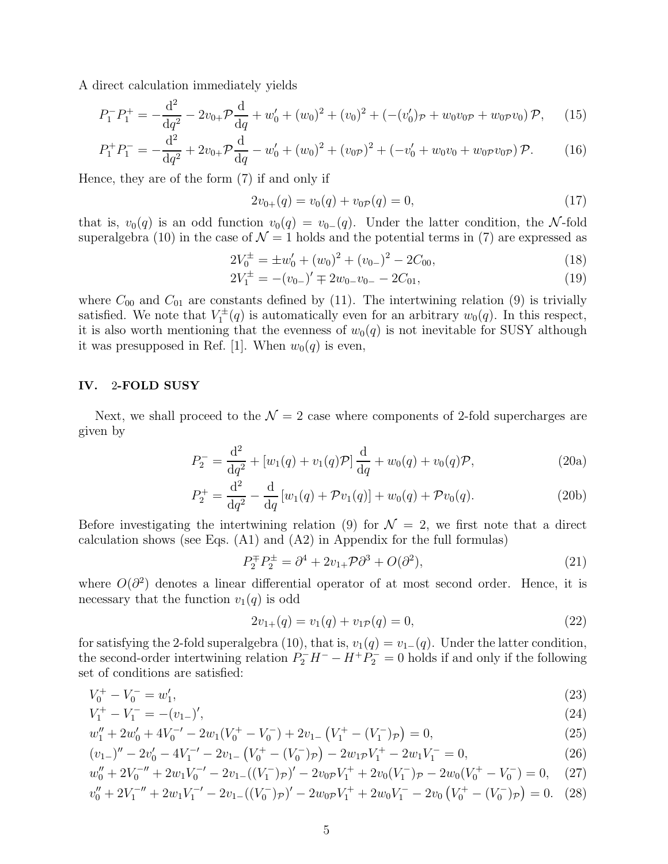A direct calculation immediately yields

$$
P_1^- P_1^+ = -\frac{\mathrm{d}^2}{\mathrm{d}q^2} - 2v_{0+} \mathcal{P} \frac{\mathrm{d}}{\mathrm{d}q} + w_0' + (w_0)^2 + (v_0)^2 + (- (v_0')\mathcal{P} + w_0 v_0 \mathcal{P} + w_0 \mathcal{P} v_0) \mathcal{P}, \quad (15)
$$

$$
P_1^+ P_1^- = -\frac{\mathrm{d}^2}{\mathrm{d}q^2} + 2v_{0+} \mathcal{P} \frac{\mathrm{d}}{\mathrm{d}q} - w_0' + (w_0)^2 + (v_{0\mathcal{P}})^2 + (-v_0' + w_0 v_0 + w_0 \mathcal{P} v_0 \mathcal{P}) \mathcal{P}. \tag{16}
$$

Hence, they are of the form (7) if and only if

$$
2v_{0+}(q) = v_0(q) + v_{0P}(q) = 0,\t\t(17)
$$

that is,  $v_0(q)$  is an odd function  $v_0(q) = v_{0-}(q)$ . Under the latter condition, the N-fold superalgebra (10) in the case of  $\mathcal{N}=1$  holds and the potential terms in (7) are expressed as

$$
2V_0^{\pm} = \pm w'_0 + (w_0)^2 + (v_{0-})^2 - 2C_{00},\tag{18}
$$

$$
2V_1^{\pm} = -(v_{0-})' \mp 2w_{0-}v_{0-} - 2C_{01}, \tag{19}
$$

where  $C_{00}$  and  $C_{01}$  are constants defined by (11). The intertwining relation (9) is trivially satisfied. We note that  $V_1^{\pm}$  $U_1^{\pm}(q)$  is automatically even for an arbitrary  $w_0(q)$ . In this respect, it is also worth mentioning that the evenness of  $w_0(q)$  is not inevitable for SUSY although it was presupposed in Ref. [1]. When  $w_0(q)$  is even,

### IV. 2-FOLD SUSY

Next, we shall proceed to the  $\mathcal{N} = 2$  case where components of 2-fold supercharges are given by

$$
P_2^- = \frac{d^2}{dq^2} + [w_1(q) + v_1(q)\mathcal{P}] \frac{d}{dq} + w_0(q) + v_0(q)\mathcal{P},
$$
\n(20a)

$$
P_2^+ = \frac{\mathrm{d}^2}{\mathrm{d}q^2} - \frac{\mathrm{d}}{\mathrm{d}q} \left[ w_1(q) + \mathcal{P}v_1(q) \right] + w_0(q) + \mathcal{P}v_0(q). \tag{20b}
$$

Before investigating the intertwining relation (9) for  $\mathcal{N} = 2$ , we first note that a direct calculation shows (see Eqs. (A1) and (A2) in Appendix for the full formulas)

$$
P_2^{\pm} P_2^{\pm} = \partial^4 + 2v_{1+} \mathcal{P} \partial^3 + O(\partial^2), \tag{21}
$$

where  $O(\partial^2)$  denotes a linear differential operator of at most second order. Hence, it is necessary that the function  $v_1(q)$  is odd

$$
2v_{1+}(q) = v_1(q) + v_{1P}(q) = 0,
$$
\n(22)

for satisfying the 2-fold superalgebra (10), that is,  $v_1(q) = v_1-(q)$ . Under the latter condition, the second-order intertwining relation  $P_2^-H^- - H^+P_2^- = 0$  holds if and only if the following set of conditions are satisfied:

$$
V_0^+ - V_0^- = w_1',\tag{23}
$$

$$
V_1^+ - V_1^- = -(v_{1-})',\tag{24}
$$

$$
w_1'' + 2w_0' + 4V_0^{-'} - 2w_1(V_0^+ - V_0^-) + 2v_{1-}(V_1^+ - (V_1^-)_{\mathcal{P}}) = 0,
$$
\n(25)

$$
(v_{1-})'' - 2v'_0 - 4V_1^{-1} - 2v_{1-} (V_0^+ - (V_0^-)_{\mathcal{P}}) - 2w_{1\mathcal{P}}V_1^+ - 2w_1V_1^- = 0, \tag{26}
$$

$$
w_0'' + 2V_0^{-}'' + 2w_1V_0^{-} - 2v_{1-}((V_1^-)_\mathcal{P})' - 2v_{0\mathcal{P}}V_1^+ + 2v_0(V_1^-)_\mathcal{P} - 2w_0(V_0^+ - V_0^-) = 0,\tag{27}
$$

$$
v_0'' + 2V_1^{-} + 2w_1V_1^{-} - 2v_1 - ((V_0^-)_{\mathcal{P}})' - 2w_0_{\mathcal{P}}V_1^+ + 2w_0V_1^- - 2v_0(V_0^+ - (V_0^-)_{\mathcal{P}}) = 0. \tag{28}
$$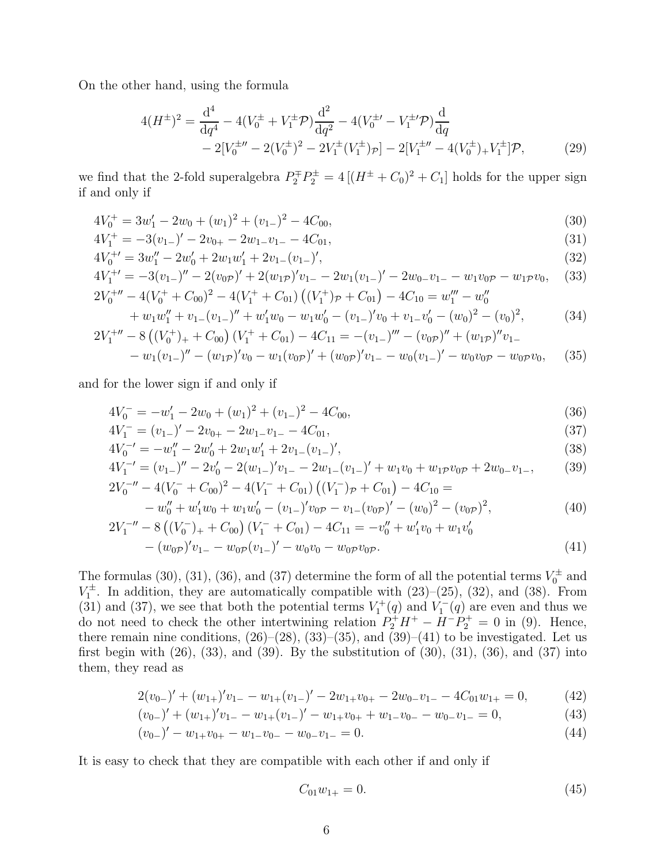On the other hand, using the formula

$$
4(H^{\pm})^2 = \frac{d^4}{dq^4} - 4(V_0^{\pm} + V_1^{\pm} \mathcal{P}) \frac{d^2}{dq^2} - 4(V_0^{\pm \prime} - V_1^{\pm \prime} \mathcal{P}) \frac{d}{dq}
$$
  
- 2[V\_0^{\pm \prime \prime} - 2(V\_0^{\pm})^2 - 2V\_1^{\pm} (V\_1^{\pm})\_{\mathcal{P}}] - 2[V\_1^{\pm \prime \prime} - 4(V\_0^{\pm})\_{+} V\_1^{\pm}] \mathcal{P}, \tag{29}

we find that the 2-fold superalgebra  $P_2^{\pm}P_2^{\pm} = 4[(H^{\pm} + C_0)^2 + C_1]$  holds for the upper sign if and only if

$$
4V_0^+ = 3w_1' - 2w_0 + (w_1)^2 + (v_{1-})^2 - 4C_{00},
$$
\n(30)

$$
4V_1^+ = -3(v_{1-})' - 2v_{0+} - 2w_{1-}v_{1-} - 4C_{01},
$$
\n(31)

$$
4V_0^{+'} = 3w_1'' - 2w_0' + 2w_1w_1' + 2v_{1-}(v_{1-})',\tag{32}
$$

$$
4V_1^{+'} = -3(v_{1-})'' - 2(v_{0\mathcal{P}})' + 2(w_{1\mathcal{P}})'v_{1-} - 2w_1(v_{1-})' - 2w_{0-}v_{1-} - w_1v_{0\mathcal{P}} - w_1\mathcal{P}v_0, \quad (33)
$$
  

$$
2V_0^{+''} - 4(V_0^+ + C_{00})^2 - 4(V_1^+ + C_{01})((V_1^+)_{\mathcal{P}} + C_{01}) - 4C_{10} = w_1''' - w_0''
$$

$$
v_0 = 4(v_0 + C_{00}) = 4(v_1 + C_{01})(v_1) p + C_{01}) = 4C_{10} = w_1 - w_0
$$
  
+ 
$$
w_1 w_1'' + v_{1-}(v_{1-})'' + w_1' w_0 - w_1 w_0' - (v_{1-})' v_0 + v_{1-} v_0' - (w_0)^2 - (v_0)^2,
$$
 (34)

$$
2V_1^{+\prime\prime} - 8\left((V_0^+)_{+} + C_{00}\right)(V_1^+ + C_{01}) - 4C_{11} = -(v_{1-})''' - (v_{0\mathcal{P}})'' + (w_{1\mathcal{P}})''v_{1-} - w_1(v_{1-})'' - (w_{1\mathcal{P}})'v_0 - w_1(v_{0\mathcal{P}})' + (w_{0\mathcal{P}})'v_{1-} - w_0(v_{1-})' - w_0v_{0\mathcal{P}} - w_0\mathcal{P}v_0, \quad (35)
$$

and for the lower sign if and only if

$$
4V_0^- = -w_1' - 2w_0 + (w_1)^2 + (v_{1-})^2 - 4C_{00},
$$
\n(36)

$$
4V_1^- = (v_{1-})' - 2v_{0+} - 2w_{1-}v_{1-} - 4C_{01},
$$
\n(37)

$$
4V_0^{-'} = -w_1'' - 2w_0' + 2w_1w_1' + 2v_{1-}(v_{1-})',\tag{38}
$$

$$
4V_1^{-1} = (v_{1-})'' - 2v_0' - 2(w_{1-})'v_{1-} - 2w_{1-}(v_{1-})' + w_1v_0 + w_1p v_0p + 2w_0 v_{1-},
$$
  
\n
$$
2V^{-1} = (v_{1-})'' - 2v_0' - 2(w_{1-})'v_{1-} - 2w_{1-}(v_{1-})' + w_1v_0 + w_1p v_0p + 2w_0 v_{1-},
$$
  
\n(39)

$$
2V_0^{-\prime\prime} - 4(V_0^- + C_{00})^2 - 4(V_1^- + C_{01})((V_1^-)_{\mathcal{P}} + C_{01}) - 4C_{10} =
$$
  
\n
$$
-w_0^{\prime\prime} + w_1^{\prime}w_0 + w_1w_0^{\prime} - (v_{1-})^{\prime}v_0\mathcal{P} - v_{1-}(v_0\mathcal{P})^{\prime} - (w_0)^2 - (v_0\mathcal{P})^2,
$$
  
\n
$$
2V_1^{-\prime\prime} - 8((V_0^-)_{+} + C_{00})(V_1^- + C_{01}) - 4C_{11} = -v_0^{\prime\prime} + w_1^{\prime}v_0 + w_1v_0^{\prime}
$$
\n(40)

$$
-(w_{0\mathcal{P}})'v_{1-} - w_{0\mathcal{P}}(v_{1-})' - w_0v_0 - w_{0\mathcal{P}}v_{0\mathcal{P}}.
$$
\n(41)

The formulas (30), (31), (36), and (37) determine the form of all the potential terms  $V_0^{\pm}$  and 0  $V_1^{\pm}$  $\mathcal{I}_1^{\pm}$ . In addition, they are automatically compatible with  $(23)-(25)$ ,  $(32)$ , and  $(38)$ . From (31) and (37), we see that both the potential terms  $V_1^+(q)$  and  $V_1^ \binom{1}{1}(q)$  are even and thus we do not need to check the other intertwining relation  $P_2^+H^+ - H^-P_2^+ = 0$  in (9). Hence, there remain nine conditions,  $(26)$ – $(28)$ ,  $(33)$ – $(35)$ , and  $(39)$ – $(41)$  to be investigated. Let us first begin with  $(26)$ ,  $(33)$ , and  $(39)$ . By the substitution of  $(30)$ ,  $(31)$ ,  $(36)$ , and  $(37)$  into them, they read as

$$
2(v_{0-})' + (w_{1+})'v_{1-} - w_{1+}(v_{1-})' - 2w_{1+}v_{0+} - 2w_{0-}v_{1-} - 4C_{01}w_{1+} = 0,
$$
\n(42)

$$
(v_{0-})' + (w_{1+})'v_{1-} - w_{1+}(v_{1-})' - w_{1+}v_{0+} + w_{1-}v_{0-} - w_{0-}v_{1-} = 0,
$$
\n(43)

$$
(v_{0-})' - w_{1+}v_{0+} - w_{1-}v_{0-} - w_{0-}v_{1-} = 0.
$$
\n
$$
(44)
$$

It is easy to check that they are compatible with each other if and only if

$$
C_{01}w_{1+} = 0.\t\t(45)
$$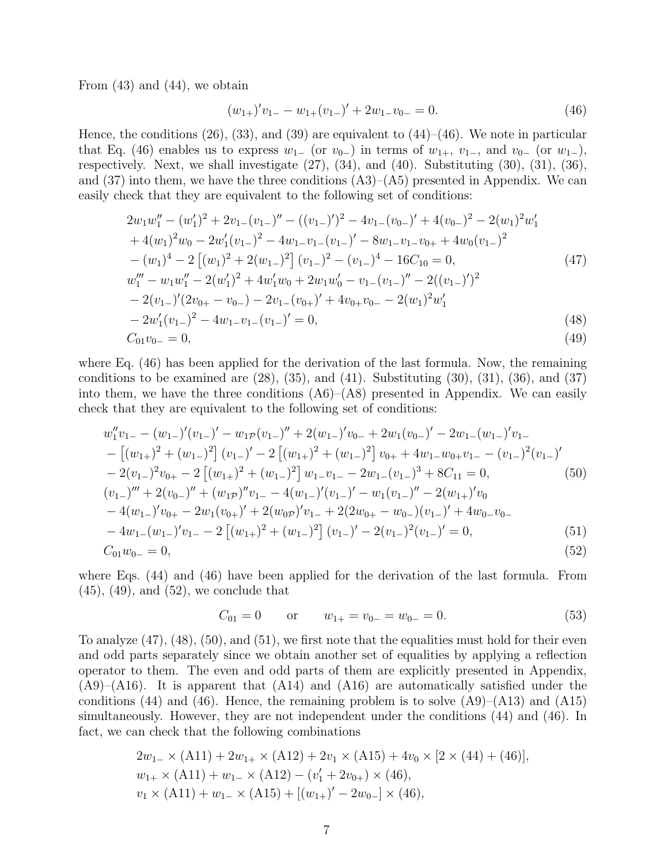From  $(43)$  and  $(44)$ , we obtain

$$
(w_{1+})'v_{1-} - w_{1+}(v_{1-})' + 2w_{1-}v_{0-} = 0.
$$
\n(46)

Hence, the conditions  $(26)$ ,  $(33)$ , and  $(39)$  are equivalent to  $(44)$ – $(46)$ . We note in particular that Eq. (46) enables us to express  $w_1$ – (or  $v_0$ –) in terms of  $w_{1+}$ ,  $v_{1-}$ , and  $v_0$ – (or  $w_{1-}$ ), respectively. Next, we shall investigate  $(27)$ ,  $(34)$ , and  $(40)$ . Substituting  $(30)$ ,  $(31)$ ,  $(36)$ , and  $(37)$  into them, we have the three conditions  $(A3)$ – $(A5)$  presented in Appendix. We can easily check that they are equivalent to the following set of conditions:

$$
2w_1w_1'' - (w_1')^2 + 2v_{1-}(v_{1-})'' - ((v_{1-})')^2 - 4v_{1-}(v_{0-})' + 4(v_{0-})^2 - 2(w_1)^2w_1'
$$
  
+  $4(w_1)^2w_0 - 2w_1'(v_{1-})^2 - 4w_{1-}v_{1-}(v_{1-})' - 8w_{1-}v_{1-}v_{0+} + 4w_0(v_{1-})^2$   
-  $(w_1)^4 - 2 [(w_1)^2 + 2(w_{1-})^2] (v_{1-})^2 - (v_{1-})^4 - 16C_{10} = 0,$  (47)  

$$
w_1''' - w_1w_1'' - 2(w_1')^2 + 4w_1'w_0 + 2w_1w_0' - v_{1-}(v_{1-})'' - 2((v_{1-})')^2
$$
  
-  $2(v_{1-})'(2v_{0+} - v_{0-}) - 2v_{1-}(v_{0+})' + 4v_{0+}v_{0-} - 2(w_1)^2w_1'$   
-  $2w_1'(v_{1-})^2 - 4w_{1-}v_{1-}(v_{1-})' = 0,$  (48)  
 $C_{01}v_{0-} = 0,$  (49)

where Eq. (46) has been applied for the derivation of the last formula. Now, the remaining conditions to be examined are  $(28)$ ,  $(35)$ , and  $(41)$ . Substituting  $(30)$ ,  $(31)$ ,  $(36)$ , and  $(37)$ into them, we have the three conditions  $(A6)$ – $(A8)$  presented in Appendix. We can easily check that they are equivalent to the following set of conditions:

$$
w_1''v_{1-} - (w_{1-})'(v_{1-})' - w_{1p}(v_{1-})'' + 2(w_{1-})'v_{0-} + 2w_1(v_{0-})' - 2w_{1-}(w_{1-})'v_{1-}
$$
  
\n
$$
- [(w_{1+})^2 + (w_{1-})^2] (v_{1-})' - 2 [(w_{1+})^2 + (w_{1-})^2] v_{0+} + 4w_{1-}w_{0+}v_{1-} - (v_{1-})^2(v_{1-})'
$$
  
\n
$$
- 2(v_{1-})^2v_{0+} - 2 [(w_{1+})^2 + (w_{1-})^2] w_{1-}v_{1-} - 2w_{1-}(v_{1-})^3 + 8C_{11} = 0,
$$
  
\n
$$
(v_{1-})''' + 2(v_{0-})'' + (w_{1p})''v_{1-} - 4(w_{1-})'(v_{1-})' - w_1(v_{1-})'' - 2(w_{1+})'v_0
$$
  
\n
$$
- 4(w_{1-})'v_{0+} - 2w_1(v_{0+})' + 2(w_{0p})'v_{1-} + 2(2w_{0+} - w_{0-})(v_{1-})' + 4w_{0-}v_{0-}
$$
  
\n
$$
- 4w_{1-}(w_{1-})'v_{1-} - 2 [(w_{1+})^2 + (w_{1-})^2] (v_{1-})' - 2(v_{1-})^2(v_{1-})' = 0,
$$
  
\n
$$
C_{01}w_{0-} = 0,
$$
  
\n(52)

where Eqs. (44) and (46) have been applied for the derivation of the last formula. From  $(45)$ ,  $(49)$ , and  $(52)$ , we conclude that

$$
C_{01} = 0
$$
 or  $w_{1+} = v_{0-} = w_{0-} = 0.$  (53)

To analyze (47), (48), (50), and (51), we first note that the equalities must hold for their even and odd parts separately since we obtain another set of equalities by applying a reflection operator to them. The even and odd parts of them are explicitly presented in Appendix,  $(A9)$ – $(A16)$ . It is apparent that  $(A14)$  and  $(A16)$  are automatically satisfied under the conditions (44) and (46). Hence, the remaining problem is to solve  $(A9)$ – $(A13)$  and  $(A15)$ simultaneously. However, they are not independent under the conditions (44) and (46). In fact, we can check that the following combinations

$$
2w_{1-} \times (A11) + 2w_{1+} \times (A12) + 2v_1 \times (A15) + 4v_0 \times [2 \times (44) + (46)],
$$
  
\n
$$
w_{1+} \times (A11) + w_{1-} \times (A12) - (v'_1 + 2v_{0+}) \times (46),
$$
  
\n
$$
v_1 \times (A11) + w_{1-} \times (A15) + [(w_{1+})' - 2w_{0-}] \times (46),
$$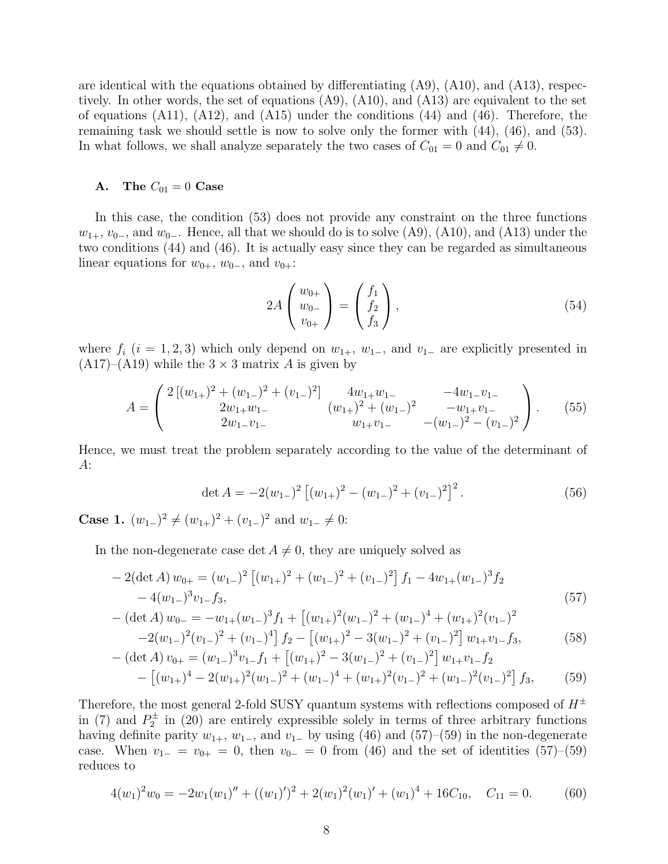are identical with the equations obtained by differentiating (A9), (A10), and (A13), respectively. In other words, the set of equations (A9), (A10), and (A13) are equivalent to the set of equations  $(A11)$ ,  $(A12)$ , and  $(A15)$  under the conditions  $(44)$  and  $(46)$ . Therefore, the remaining task we should settle is now to solve only the former with (44), (46), and (53). In what follows, we shall analyze separately the two cases of  $C_{01} = 0$  and  $C_{01} \neq 0$ .

# A. The  $C_{01} = 0$  Case

In this case, the condition (53) does not provide any constraint on the three functions  $w_{1+}$ ,  $v_{0-}$ , and  $w_{0-}$ . Hence, all that we should do is to solve (A9), (A10), and (A13) under the two conditions (44) and (46). It is actually easy since they can be regarded as simultaneous linear equations for  $w_{0+}$ ,  $w_{0-}$ , and  $v_{0+}$ :

$$
2A\begin{pmatrix}w_{0+}\\w_{0-}\\v_{0+}\end{pmatrix} = \begin{pmatrix}f_1\\f_2\\f_3\end{pmatrix},\tag{54}
$$

where  $f_i$  ( $i = 1, 2, 3$ ) which only depend on  $w_{1+}$ ,  $w_{1-}$ , and  $v_{1-}$  are explicitly presented in  $(A17)–(A19)$  while the  $3 \times 3$  matrix A is given by

$$
A = \begin{pmatrix} 2\left[ (w_{1+})^2 + (w_{1-})^2 + (v_{1-})^2 \right] & 4w_{1+}w_{1-} & -4w_{1-}v_{1-} \\ 2w_{1+}w_{1-} & (w_{1+})^2 + (w_{1-})^2 & -w_{1+}v_{1-} \\ 2w_{1-}v_{1-} & w_{1+}v_{1-} & -(w_{1-})^2 - (v_{1-})^2 \end{pmatrix} . \tag{55}
$$

Hence, we must treat the problem separately according to the value of the determinant of A:

$$
\det A = -2(w_{1-})^2 \left[ (w_{1+})^2 - (w_{1-})^2 + (v_{1-})^2 \right]^2.
$$
 (56)

**Case 1.**  $(w_{1-})^2 \neq (w_{1+})^2 + (v_{1-})^2$  and  $w_{1-} \neq 0$ :

In the non-degenerate case det  $A \neq 0$ , they are uniquely solved as

$$
-2(\det A) w_{0+} = (w_{1-})^2 \left[ (w_{1+})^2 + (w_{1-})^2 + (v_{1-})^2 \right] f_1 - 4w_{1+}(w_{1-})^3 f_2 -4(w_{1-})^3 v_{1-} f_3,
$$
\n(57)

$$
-(\det A) w_{0-} = -w_{1+}(w_{1-})^3 f_1 + [(w_{1+})^2 (w_{1-})^2 + (w_{1-})^4 + (w_{1+})^2 (v_{1-})^2 -2(w_{1-})^2 (v_{1-})^2 + (v_{1-})^4] f_2 - [(w_{1+})^2 - 3(w_{1-})^2 + (v_{1-})^2] w_{1+} v_{1-} f_3,
$$
(58)

$$
-(\det A) v_{0+} = (w_{1-})^3 v_{1-} f_1 + [(w_{1+})^2 - 3(w_{1-})^2 + (v_{1-})^2] w_{1+} v_{1-} f_2 - [(w_{1+})^4 - 2(w_{1+})^2(w_{1-})^2 + (w_{1-})^4 + (w_{1+})^2(v_{1-})^2 + (w_{1-})^2(v_{1-})^2] f_3, \qquad (59)
$$

Therefore, the most general 2-fold SUSY quantum systems with reflections composed of  $H^{\pm}$ in (7) and  $P_2^{\pm}$  $2^{\pm}$  in (20) are entirely expressible solely in terms of three arbitrary functions having definite parity  $w_{1+}$ ,  $w_{1-}$ , and  $v_{1-}$  by using (46) and (57)–(59) in the non-degenerate case. When  $v_{1-} = v_{0+} = 0$ , then  $v_{0-} = 0$  from (46) and the set of identities (57)–(59) reduces to

$$
4(w_1)^2 w_0 = -2w_1(w_1)'' + ((w_1)')^2 + 2(w_1)^2(w_1)' + (w_1)^4 + 16C_{10}, \quad C_{11} = 0. \tag{60}
$$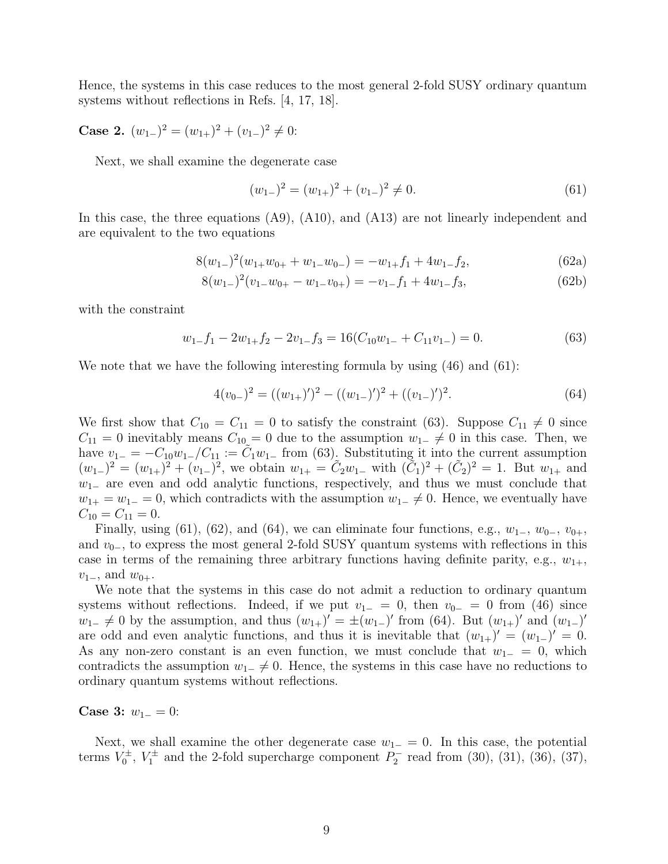Hence, the systems in this case reduces to the most general 2-fold SUSY ordinary quantum systems without reflections in Refs. [4, 17, 18].

Case 2.  $(w_{1-})^2 = (w_{1+})^2 + (v_{1-})^2 \neq 0$ :

Next, we shall examine the degenerate case

$$
(w_{1-})^2 = (w_{1+})^2 + (v_{1-})^2 \neq 0.
$$
\n(61)

In this case, the three equations (A9), (A10), and (A13) are not linearly independent and are equivalent to the two equations

$$
8(w_{1-})^2(w_{1+}w_{0+}+w_{1-}w_{0-})=-w_{1+}f_1+4w_{1-}f_2,
$$
\n(62a)

$$
8(w_{1-})^2(v_{1-}w_{0+}-w_{1-}v_{0+})=-v_{1-}f_1+4w_{1-}f_3,
$$
\n(62b)

with the constraint

$$
w_{1-}f_1 - 2w_{1+}f_2 - 2v_{1-}f_3 = 16(C_{10}w_{1-} + C_{11}v_{1-}) = 0.
$$
\n(63)

We note that we have the following interesting formula by using (46) and (61):

$$
4(v_{0-})^2 = ((w_{1+})')^2 - ((w_{1-})')^2 + ((v_{1-})')^2.
$$
\n(64)

We first show that  $C_{10} = C_{11} = 0$  to satisfy the constraint (63). Suppose  $C_{11} \neq 0$  since  $C_{11} = 0$  inevitably means  $C_{10} = 0$  due to the assumption  $w_{1-} \neq 0$  in this case. Then, we have  $v_{1-} = -C_{10}w_{1-}/C_{11} := \tilde{C}_1w_{1-}$  from (63). Substituting it into the current assumption  $(w_{1-})^2 = (w_{1+})^2 + (v_{1-})^2$ , we obtain  $w_{1+} = \tilde{C}_2 w_{1-}$  with  $(\tilde{C}_1)^2 + (\tilde{C}_2)^2 = 1$ . But  $w_{1+}$  and  $w_{1-}$  are even and odd analytic functions, respectively, and thus we must conclude that  $w_{1+} = w_{1-} = 0$ , which contradicts with the assumption  $w_{1-} \neq 0$ . Hence, we eventually have  $C_{10} = C_{11} = 0.$ 

Finally, using (61), (62), and (64), we can eliminate four functions, e.g.,  $w_{1-}$ ,  $w_{0-}$ ,  $v_{0+}$ , and  $v_{0-}$ , to express the most general 2-fold SUSY quantum systems with reflections in this case in terms of the remaining three arbitrary functions having definite parity, e.g.,  $w_{1+}$ ,  $v_{1-}$ , and  $w_{0+}$ .

We note that the systems in this case do not admit a reduction to ordinary quantum systems without reflections. Indeed, if we put  $v_{1-} = 0$ , then  $v_{0-} = 0$  from (46) since  $w_{1-} \neq 0$  by the assumption, and thus  $(w_{1+})' = \pm (w_{1-})'$  from (64). But  $(w_{1+})'$  and  $(w_{1-})'$ are odd and even analytic functions, and thus it is inevitable that  $(w_{1+})' = (w_{1-})' = 0$ . As any non-zero constant is an even function, we must conclude that  $w_{1-} = 0$ , which contradicts the assumption  $w_{1-} \neq 0$ . Hence, the systems in this case have no reductions to ordinary quantum systems without reflections.

Case 3:  $w_{1-} = 0$ :

Next, we shall examine the other degenerate case  $w_{1-} = 0$ . In this case, the potential terms  $V_0^{\pm}$  $V_0^{\pm}$ ,  $V_1^{\pm}$  $Y_1^{\pm}$  and the 2-fold supercharge component  $P_2^$  $b_2^-$  read from (30), (31), (36), (37),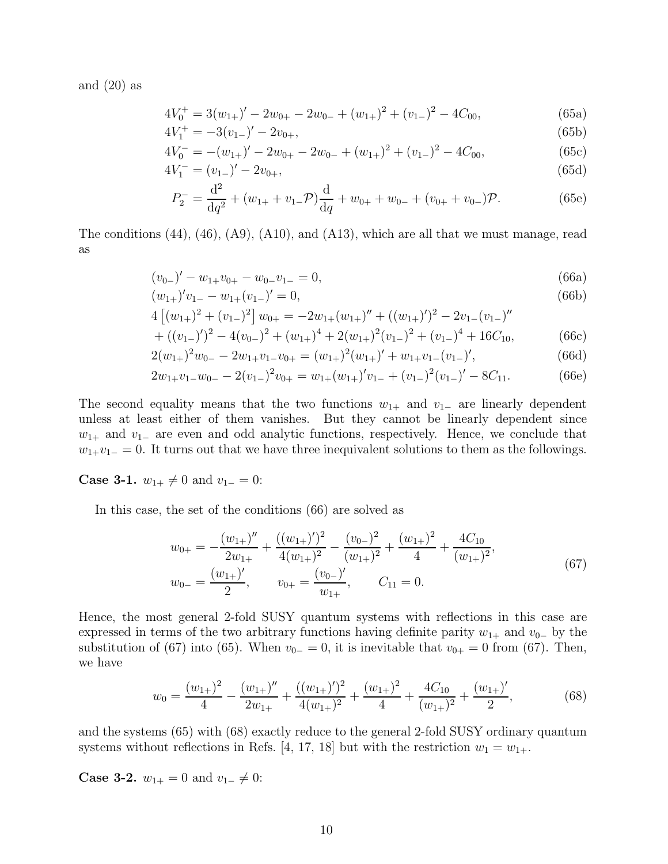and  $(20)$  as

$$
4V_0^+ = 3(w_{1+})' - 2w_{0+} - 2w_{0-} + (w_{1+})^2 + (v_{1-})^2 - 4C_{00},
$$
\n(65a)

$$
4V_1^+ = -3(v_{1-})' - 2v_{0+},
$$
\n(65b)

$$
4V_0^- = -(w_{1+})' - 2w_{0+} - 2w_{0-} + (w_{1+})^2 + (v_{1-})^2 - 4C_{00},
$$
\n
$$
4V_0^- = (w_{1+})' - 2w_{0+} - 2w_{0-} + (w_{1+})^2 + (v_{1-})^2 - 4C_{00},
$$
\n(65d)

$$
4V_1^- = (v_{1-})' - 2v_{0+},
$$
\n
$$
d^2
$$
\n(65d)

$$
P_2^- = \frac{d^2}{dq^2} + (w_{1+} + v_{1-}\mathcal{P})\frac{d}{dq} + w_{0+} + w_{0-} + (v_{0+} + v_{0-})\mathcal{P}.
$$
 (65e)

The conditions (44), (46), (A9), (A10), and (A13), which are all that we must manage, read as

$$
(v_{0-})' - w_{1+}v_{0+} - w_{0-}v_{1-} = 0,
$$
\n(66a)

$$
(w_{1+})'v_{1-} - w_{1+}(v_{1-})' = 0,
$$
\n(66b)

$$
4\left[ (w_{1+})^2 + (v_{1-})^2 \right] w_{0+} = -2w_{1+}(w_{1+})'' + ((w_{1+})')^2 - 2v_{1-}(v_{1-})''
$$
  

$$
+ ((w_{1+})')^2 - 4(w_{1+})^2 + (w_{1+})^4 + 2(w_{1+})^2 + (w_{1+})^2 + (w_{1+})^4 + 16C
$$
 (66)

+ 
$$
((v_{1-})')^2 - 4(v_{0-})^2 + (w_{1+})^4 + 2(w_{1+})^2(v_{1-})^2 + (v_{1-})^4 + 16C_{10}
$$
, (66c)  
\n $2(w_{1-})^2w_{2-} - 2w_{1-})w_{1-}v_{1-} = (w_{1-})^2(w_{1-})' + w_{1-}w_{1-}(v_{1-})'$  (66d)

$$
2(w_{1+})^2 w_{0-} - 2w_{1+}v_{1-}v_{0+} = (w_{1+})^2 (w_{1+})' + w_{1+}v_{1-}(v_{1-})',
$$
\n(66d)

$$
2w_{1+}v_{1-}w_{0-} - 2(v_{1-})^2v_{0+} = w_{1+}(w_{1+})^{\prime}v_{1-} + (v_{1-})^2(v_{1-})^{\prime} - 8C_{11}.
$$
 (66e)

The second equality means that the two functions  $w_{1+}$  and  $v_{1-}$  are linearly dependent unless at least either of them vanishes. But they cannot be linearly dependent since  $w_{1+}$  and  $v_{1-}$  are even and odd analytic functions, respectively. Hence, we conclude that  $w_{1+}v_{1-}=0$ . It turns out that we have three inequivalent solutions to them as the followings.

**Case 3-1.**  $w_{1+} \neq 0$  and  $v_{1-} = 0$ :

In this case, the set of the conditions (66) are solved as

$$
w_{0+} = -\frac{(w_{1+})''}{2w_{1+}} + \frac{((w_{1+})')^2}{4(w_{1+})^2} - \frac{(v_{0-})^2}{(w_{1+})^2} + \frac{(w_{1+})^2}{4} + \frac{4C_{10}}{(w_{1+})^2},
$$
  
\n
$$
w_{0-} = \frac{(w_{1+})'}{2}, \qquad v_{0+} = \frac{(v_{0-})'}{w_{1+}}, \qquad C_{11} = 0.
$$
\n(67)

Hence, the most general 2-fold SUSY quantum systems with reflections in this case are expressed in terms of the two arbitrary functions having definite parity  $w_{1+}$  and  $v_{0-}$  by the substitution of (67) into (65). When  $v_{0-} = 0$ , it is inevitable that  $v_{0+} = 0$  from (67). Then, we have

$$
w_0 = \frac{(w_{1+})^2}{4} - \frac{(w_{1+})''}{2w_{1+}} + \frac{((w_{1+})')^2}{4(w_{1+})^2} + \frac{(w_{1+})^2}{4} + \frac{4C_{10}}{(w_{1+})^2} + \frac{(w_{1+})'}{2},
$$
(68)

and the systems (65) with (68) exactly reduce to the general 2-fold SUSY ordinary quantum systems without reflections in Refs. [4, 17, 18] but with the restriction  $w_1 = w_{1+}$ .

**Case 3-2.**  $w_{1+} = 0$  and  $v_{1-} \neq 0$ :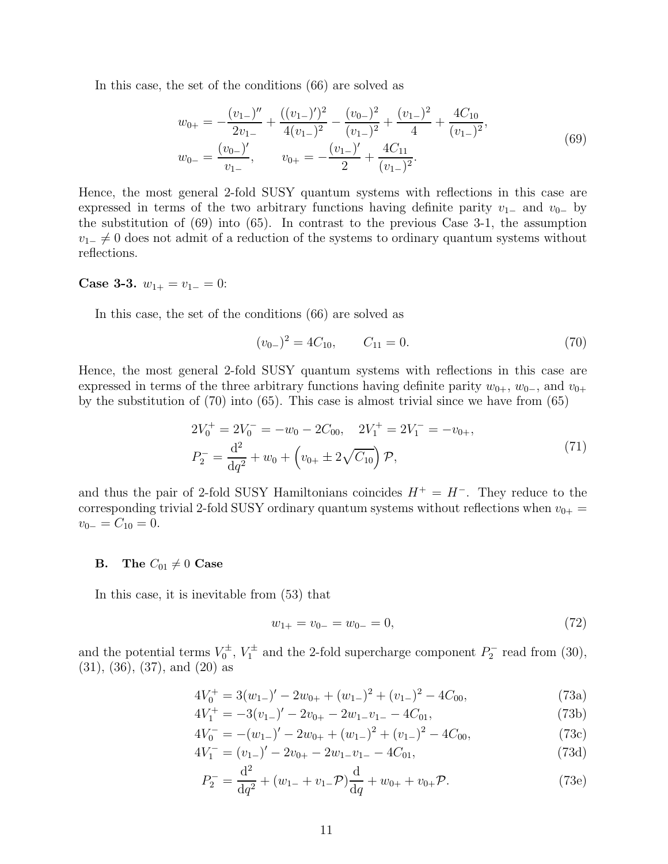In this case, the set of the conditions (66) are solved as

$$
w_{0+} = -\frac{(v_{1-})''}{2v_{1-}} + \frac{((v_{1-})')^2}{4(v_{1-})^2} - \frac{(v_{0-})^2}{(v_{1-})^2} + \frac{(v_{1-})^2}{4} + \frac{4C_{10}}{(v_{1-})^2},
$$
  
\n
$$
w_{0-} = \frac{(v_{0-})'}{v_{1-}}, \qquad v_{0+} = -\frac{(v_{1-})'}{2} + \frac{4C_{11}}{(v_{1-})^2}.
$$
\n(69)

Hence, the most general 2-fold SUSY quantum systems with reflections in this case are expressed in terms of the two arbitrary functions having definite parity  $v_{1-}$  and  $v_{0-}$  by the substitution of (69) into (65). In contrast to the previous Case 3-1, the assumption  $v_{1-} \neq 0$  does not admit of a reduction of the systems to ordinary quantum systems without reflections.

# Case 3-3.  $w_{1+} = v_{1-} = 0$ :

In this case, the set of the conditions (66) are solved as

$$
(v_{0-})^2 = 4C_{10}, \t C_{11} = 0.
$$
\t(70)

Hence, the most general 2-fold SUSY quantum systems with reflections in this case are expressed in terms of the three arbitrary functions having definite parity  $w_{0+}$ ,  $w_{0-}$ , and  $v_{0+}$ by the substitution of (70) into (65). This case is almost trivial since we have from (65)

$$
2V_0^+ = 2V_0^- = -w_0 - 2C_{00}, \quad 2V_1^+ = 2V_1^- = -v_{0+},
$$
  
\n
$$
P_2^- = \frac{d^2}{dq^2} + w_0 + \left(v_{0+} \pm 2\sqrt{C_{10}}\right) \mathcal{P},
$$
\n(71)

and thus the pair of 2-fold SUSY Hamiltonians coincides  $H^+ = H^-$ . They reduce to the corresponding trivial 2-fold SUSY ordinary quantum systems without reflections when  $v_{0+} =$  $v_{0-}=C_{10}=0.$ 

# **B.** The  $C_{01} \neq 0$  Case

In this case, it is inevitable from (53) that

$$
w_{1+} = v_{0-} = w_{0-} = 0,\t\t(72)
$$

and the potential terms  $V_0^{\pm}$  $V_0^{\pm}$ ,  $V_1^{\pm}$  and the 2-fold supercharge component  $P_2^$  $b_2^-$  read from (30), (31), (36), (37), and (20) as

$$
4V_0^+ = 3(w_{1-})' - 2w_{0+} + (w_{1-})^2 + (v_{1-})^2 - 4C_{00},
$$
\n(73a)

$$
4V_1^+ = -3(v_{1-})' - 2v_{0+} - 2w_{1-}v_{1-} - 4C_{01},
$$
\n(73b)

$$
4V_0^- = -(w_{1-})' - 2w_{0+} + (w_{1-})^2 + (v_{1-})^2 - 4C_{00},
$$
\n(73c)

$$
4V_1^- = (v_{1-})' - 2v_{0+} - 2w_{1-}v_{1-} - 4C_{01},
$$
\n(73d)

$$
P_2^- = \frac{\mathrm{d}^2}{\mathrm{d}q^2} + (w_{1-} + v_{1-}\mathcal{P})\frac{\mathrm{d}}{\mathrm{d}q} + w_{0+} + v_{0+}\mathcal{P}.\tag{73e}
$$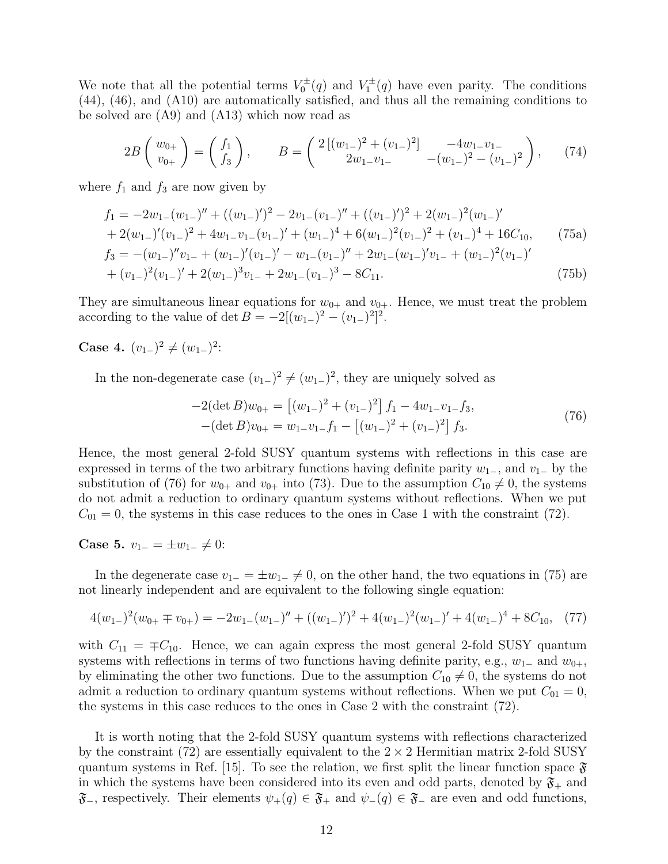We note that all the potential terms  $V_0^{\pm}$  $V_0^{\pm}(q)$  and  $V_1^{\pm}$  $\mathcal{I}_1^{\pm}(q)$  have even parity. The conditions (44), (46), and (A10) are automatically satisfied, and thus all the remaining conditions to be solved are (A9) and (A13) which now read as

$$
2B\left(\begin{array}{c}w_{0+}\\v_{0+}\end{array}\right)=\left(\begin{array}{c}f_1\\f_3\end{array}\right),\qquad B=\left(\begin{array}{cc}2\left[(w_{1-})^2+(v_{1-})^2\right]&-4w_{1-}v_{1-}\\2w_{1-}v_{1-}\end{array}\right)-\left(w_{1-})^2-(v_{1-})^2\right),\qquad(74)
$$

where  $f_1$  and  $f_3$  are now given by

$$
f_1 = -2w_{1-}(w_{1-})'' + ((w_{1-})')^2 - 2v_{1-}(v_{1-})'' + ((v_{1-})')^2 + 2(w_{1-})^2(w_{1-})'
$$
  
+  $2(w_{1-})'(v_{1-})^2 + 4w_{1-}v_{1-}(v_{1-})' + (w_{1-})^4 + 6(w_{1-})^2(v_{1-})^2 + (v_{1-})^4 + 16C_{10},$  (75a)  

$$
f_3 = -(w_{1-})''v_{1-} + (w_{1-})'(v_{1-})' - w_{1-}(v_{1-})'' + 2w_{1-}(w_{1-})'v_{1-} + (w_{1-})^2(v_{1-})'
$$

$$
+(v_{1-})^2(v_{1-})'+2(w_{1-})^3v_{1-}+2w_{1-}(v_{1-})^3-8C_{11}.
$$
\n(75b)

They are simultaneous linear equations for  $w_{0+}$  and  $v_{0+}$ . Hence, we must treat the problem according to the value of det  $B = -2[(w_{1-})^2 - (v_{1-})^2]^2$ .

Case 4.  $(v_{1-})^2 \neq (w_{1-})^2$ :

In the non-degenerate case  $(v_{1-})^2 \neq (w_{1-})^2$ , they are uniquely solved as

$$
-2(\det B)w_{0+} = [(w_{1-})^2 + (v_{1-})^2] f_1 - 4w_{1-}v_{1-}f_3,-(\det B)v_{0+} = w_{1-}v_{1-}f_1 - [(w_{1-})^2 + (v_{1-})^2] f_3.
$$
\n(76)

Hence, the most general 2-fold SUSY quantum systems with reflections in this case are expressed in terms of the two arbitrary functions having definite parity  $w_{1-}$ , and  $v_{1-}$  by the substitution of (76) for  $w_{0+}$  and  $v_{0+}$  into (73). Due to the assumption  $C_{10} \neq 0$ , the systems do not admit a reduction to ordinary quantum systems without reflections. When we put  $C_{01} = 0$ , the systems in this case reduces to the ones in Case 1 with the constraint (72).

Case 5. 
$$
v_{1-} = \pm w_{1-} \neq 0
$$
:

In the degenerate case  $v_{1-} = \pm w_{1-} \neq 0$ , on the other hand, the two equations in (75) are not linearly independent and are equivalent to the following single equation:

$$
4(w_{1-})^2(w_{0+} \mp v_{0+}) = -2w_{1-}(w_{1-})'' + ((w_{1-})')^2 + 4(w_{1-})^2(w_{1-})' + 4(w_{1-})^4 + 8C_{10}, \quad (77)
$$

with  $C_{11} = \pm C_{10}$ . Hence, we can again express the most general 2-fold SUSY quantum systems with reflections in terms of two functions having definite parity, e.g.,  $w_1$ – and  $w_{0+}$ , by eliminating the other two functions. Due to the assumption  $C_{10} \neq 0$ , the systems do not admit a reduction to ordinary quantum systems without reflections. When we put  $C_{01} = 0$ , the systems in this case reduces to the ones in Case 2 with the constraint (72).

It is worth noting that the 2-fold SUSY quantum systems with reflections characterized by the constraint (72) are essentially equivalent to the  $2 \times 2$  Hermitian matrix 2-fold SUSY quantum systems in Ref. [15]. To see the relation, we first split the linear function space  $\mathfrak{F}$ in which the systems have been considered into its even and odd parts, denoted by  $\mathfrak{F}_+$  and  $\mathfrak{F}_-$ , respectively. Their elements  $\psi_+(q) \in \mathfrak{F}_+$  and  $\psi_-(q) \in \mathfrak{F}_-$  are even and odd functions,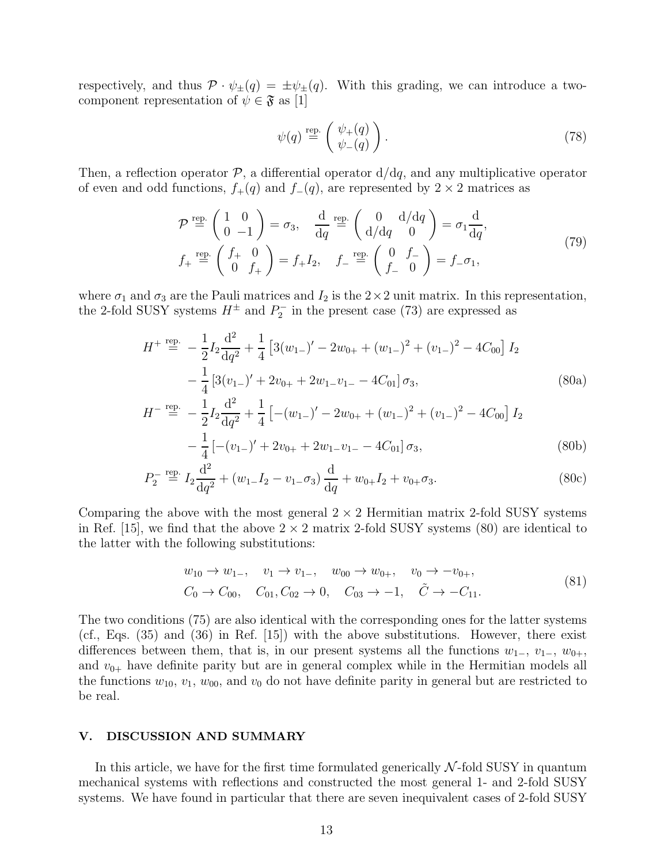respectively, and thus  $\mathcal{P} \cdot \psi_{\pm}(q) = \pm \psi_{\pm}(q)$ . With this grading, we can introduce a twocomponent representation of  $\psi \in \mathfrak{F}$  as [1]

$$
\psi(q) \stackrel{\text{rep.}}{=} \begin{pmatrix} \psi_+(q) \\ \psi_-(q) \end{pmatrix} . \tag{78}
$$

Then, a reflection operator  $P$ , a differential operator  $d/dq$ , and any multiplicative operator of even and odd functions,  $f_+(q)$  and  $f_-(q)$ , are represented by 2 × 2 matrices as

$$
\mathcal{P} \stackrel{\text{rep.}}{=} \begin{pmatrix} 1 & 0 \\ 0 & -1 \end{pmatrix} = \sigma_3, \quad \frac{\text{d}}{\text{d}q} \stackrel{\text{rep.}}{=} \begin{pmatrix} 0 & \text{d/dq} \\ \text{d/dq} & 0 \end{pmatrix} = \sigma_1 \frac{\text{d}}{\text{d}q},
$$
\n
$$
f_+ \stackrel{\text{rep.}}{=} \begin{pmatrix} f_+ & 0 \\ 0 & f_+ \end{pmatrix} = f_+ I_2, \quad f_- \stackrel{\text{rep.}}{=} \begin{pmatrix} 0 & f_- \\ f_- & 0 \end{pmatrix} = f_- \sigma_1,
$$
\n(79)

where  $\sigma_1$  and  $\sigma_3$  are the Pauli matrices and  $I_2$  is the  $2 \times 2$  unit matrix. In this representation, the 2-fold SUSY systems  $H^{\pm}$  and  $P_2^{-}$  $2^{\circ}$  in the present case (73) are expressed as

$$
H^{+} \stackrel{\text{rep.}}{=} -\frac{1}{2} I_2 \frac{\mathrm{d}^2}{\mathrm{d}q^2} + \frac{1}{4} \left[ 3(w_{1-})' - 2w_{0+} + (w_{1-})^2 + (v_{1-})^2 - 4C_{00} \right] I_2
$$
  

$$
- \frac{1}{4} \left[ 3(v_{1-})' + 2v_{0+} + 2w_{1-}v_{1-} - 4C_{01} \right] \sigma_3,
$$
 (80a)

$$
H^{-} \stackrel{\text{rep.}}{=} -\frac{1}{2} I_2 \frac{\mathrm{d}^2}{\mathrm{d}q^2} + \frac{1}{4} \left[ -(w_{1-})' - 2w_{0+} + (w_{1-})^2 + (v_{1-})^2 - 4C_{00} \right] I_2
$$
  

$$
- \frac{1}{4} \left[ -(v_{1-})' + 2v_{0+} + 2w_{1-}v_{1-} - 4C_{01} \right] \sigma_3,
$$
 (80b)

$$
P_2^- \stackrel{\text{rep.}}{=} I_2 \frac{\mathrm{d}^2}{\mathrm{d}q^2} + (w_1 - I_2 - v_1 - \sigma_3) \frac{\mathrm{d}}{\mathrm{d}q} + w_0 + I_2 + v_0 + \sigma_3. \tag{80c}
$$

Comparing the above with the most general  $2 \times 2$  Hermitian matrix 2-fold SUSY systems in Ref. [15], we find that the above  $2 \times 2$  matrix 2-fold SUSY systems (80) are identical to the latter with the following substitutions:

$$
w_{10} \to w_{1-}
$$
,  $v_1 \to v_{1-}$ ,  $w_{00} \to w_{0+}$ ,  $v_0 \to -v_{0+}$ ,  
\n $C_0 \to C_{00}$ ,  $C_{01}$ ,  $C_{02} \to 0$ ,  $C_{03} \to -1$ ,  $\tilde{C} \to -C_{11}$ . (81)

The two conditions (75) are also identical with the corresponding ones for the latter systems (cf., Eqs. (35) and (36) in Ref. [15]) with the above substitutions. However, there exist differences between them, that is, in our present systems all the functions  $w_{1-}$ ,  $v_{1-}$ ,  $w_{0+}$ , and  $v_{0+}$  have definite parity but are in general complex while in the Hermitian models all the functions  $w_{10}$ ,  $v_1$ ,  $w_{00}$ , and  $v_0$  do not have definite parity in general but are restricted to be real.

# V. DISCUSSION AND SUMMARY

In this article, we have for the first time formulated generically  $N$ -fold SUSY in quantum mechanical systems with reflections and constructed the most general 1- and 2-fold SUSY systems. We have found in particular that there are seven inequivalent cases of 2-fold SUSY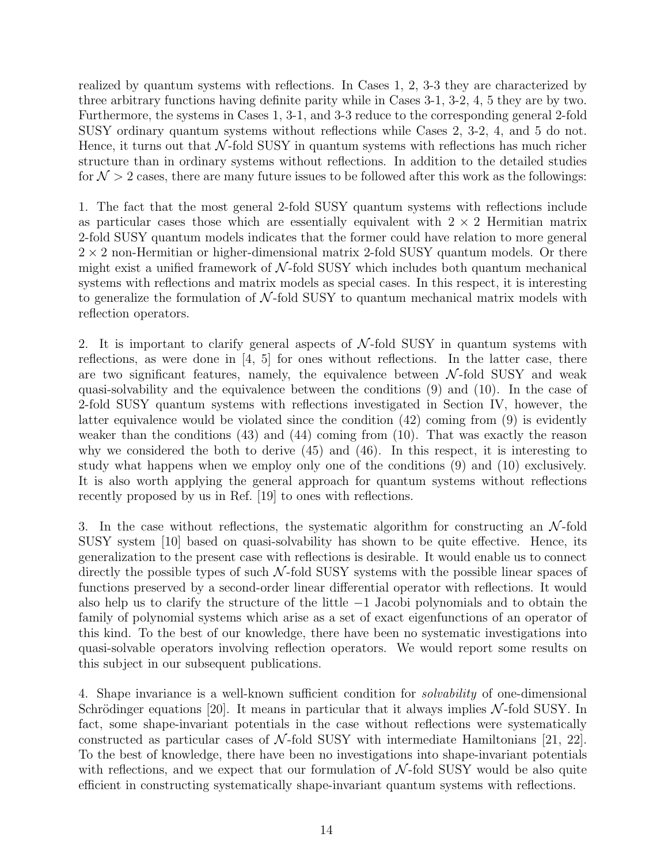realized by quantum systems with reflections. In Cases 1, 2, 3-3 they are characterized by three arbitrary functions having definite parity while in Cases 3-1, 3-2, 4, 5 they are by two. Furthermore, the systems in Cases 1, 3-1, and 3-3 reduce to the corresponding general 2-fold SUSY ordinary quantum systems without reflections while Cases 2, 3-2, 4, and 5 do not. Hence, it turns out that  $\mathcal{N}\text{-fold SUSY}$  in quantum systems with reflections has much richer structure than in ordinary systems without reflections. In addition to the detailed studies for  $\mathcal{N} > 2$  cases, there are many future issues to be followed after this work as the followings:

1. The fact that the most general 2-fold SUSY quantum systems with reflections include as particular cases those which are essentially equivalent with  $2 \times 2$  Hermitian matrix 2-fold SUSY quantum models indicates that the former could have relation to more general  $2 \times 2$  non-Hermitian or higher-dimensional matrix 2-fold SUSY quantum models. Or there might exist a unified framework of  $N$ -fold SUSY which includes both quantum mechanical systems with reflections and matrix models as special cases. In this respect, it is interesting to generalize the formulation of  $N$ -fold SUSY to quantum mechanical matrix models with reflection operators.

2. It is important to clarify general aspects of  $N$ -fold SUSY in quantum systems with reflections, as were done in  $\begin{bmatrix} 4 & 5 \end{bmatrix}$  for ones without reflections. In the latter case, there are two significant features, namely, the equivalence between  $\mathcal{N}\text{-fold SUSY}$  and weak quasi-solvability and the equivalence between the conditions (9) and (10). In the case of 2-fold SUSY quantum systems with reflections investigated in Section IV, however, the latter equivalence would be violated since the condition (42) coming from (9) is evidently weaker than the conditions (43) and (44) coming from (10). That was exactly the reason why we considered the both to derive (45) and (46). In this respect, it is interesting to study what happens when we employ only one of the conditions (9) and (10) exclusively. It is also worth applying the general approach for quantum systems without reflections recently proposed by us in Ref. [19] to ones with reflections.

3. In the case without reflections, the systematic algorithm for constructing an  $\mathcal{N}\text{-fold}$ SUSY system [10] based on quasi-solvability has shown to be quite effective. Hence, its generalization to the present case with reflections is desirable. It would enable us to connect directly the possible types of such  $\mathcal{N}\text{-fold SUSY}$  systems with the possible linear spaces of functions preserved by a second-order linear differential operator with reflections. It would also help us to clarify the structure of the little −1 Jacobi polynomials and to obtain the family of polynomial systems which arise as a set of exact eigenfunctions of an operator of this kind. To the best of our knowledge, there have been no systematic investigations into quasi-solvable operators involving reflection operators. We would report some results on this subject in our subsequent publications.

4. Shape invariance is a well-known sufficient condition for solvability of one-dimensional Schrödinger equations [20]. It means in particular that it always implies  $\mathcal{N}\text{-fold SUSY}$ . In fact, some shape-invariant potentials in the case without reflections were systematically constructed as particular cases of  $\mathcal{N}\text{-fold SUSY}$  with intermediate Hamiltonians [21, 22]. To the best of knowledge, there have been no investigations into shape-invariant potentials with reflections, and we expect that our formulation of  $\mathcal{N}\text{-fold SUSY}$  would be also quite efficient in constructing systematically shape-invariant quantum systems with reflections.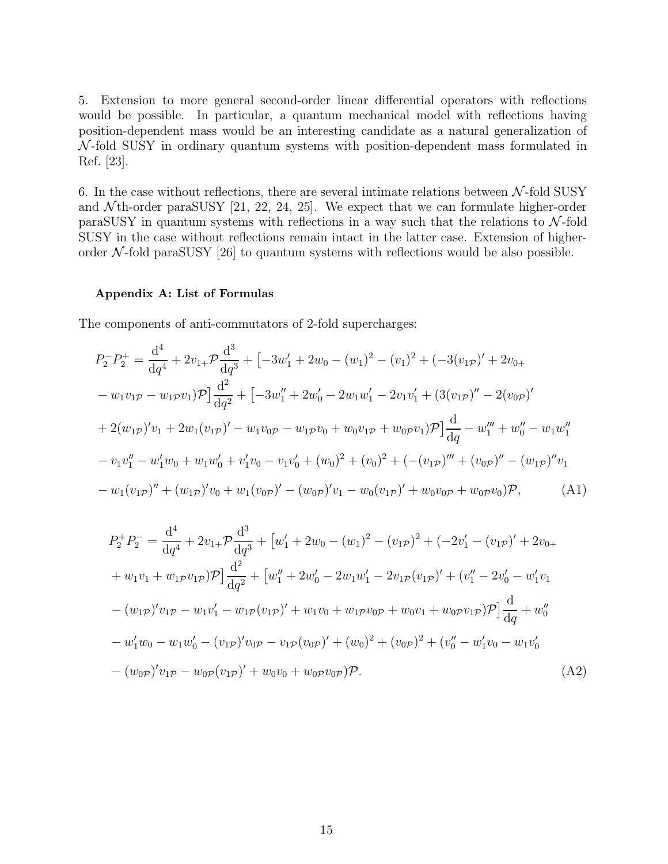5. Extension to more general second-order linear differential operators with reflections would be possible. In particular, a quantum mechanical model with reflections having position-dependent mass would be an interesting candidate as a natural generalization of  $\mathcal{N}\text{-fold SUSY}$  in ordinary quantum systems with position-dependent mass formulated in Ref. [23].

6. In the case without reflections, there are several intimate relations between  $\mathcal{N}\text{-fold SUSY}$ and  $N$ th-order paraSUSY [21, 22, 24, 25]. We expect that we can formulate higher-order paraSUSY in quantum systems with reflections in a way such that the relations to  $\mathcal{N}\text{-fold}$ SUSY in the case without reflections remain intact in the latter case. Extension of higherorder  $\mathcal{N}$ -fold paraSUSY [26] to quantum systems with reflections would be also possible.

# Appendix A: List of Formulas

The components of anti-commutators of 2-fold supercharges:

$$
P_2^- P_2^+ = \frac{d^4}{dq^4} + 2v_{1+} \mathcal{P} \frac{d^3}{dq^3} + \left[ -3w_1' + 2w_0 - (w_1)^2 - (v_1)^2 + (-3(v_{1\mathcal{P}})' + 2v_{0+} \right.
$$
  
\n
$$
- w_1v_{1\mathcal{P}} - w_{1\mathcal{P}}v_1)\mathcal{P} \Big] \frac{d^2}{dq^2} + \left[ -3w_1'' + 2w_0' - 2w_1w_1' - 2v_1v_1' + (3(v_{1\mathcal{P}})'' - 2(v_{0\mathcal{P}})'\right.
$$
  
\n
$$
+ 2(w_{1\mathcal{P}})'v_1 + 2w_1(v_{1\mathcal{P}})' - w_1v_{0\mathcal{P}} - w_{1\mathcal{P}}v_0 + w_0v_{1\mathcal{P}} + w_0\mathcal{P}v_1)\mathcal{P} \Big] \frac{d}{dq} - w_1''' + w_0'' - w_1w_1''
$$
  
\n
$$
- v_1v_1'' - w_1'w_0 + w_1w_0' + v_1'v_0 - v_1v_0' + (w_0)^2 + (v_0)^2 + (-(v_{1\mathcal{P}})''' + (v_{0\mathcal{P}})'' - (w_{1\mathcal{P}})''v_1
$$
  
\n
$$
- w_1(v_{1\mathcal{P}})'' + (w_{1\mathcal{P}})'v_0 + w_1(v_{0\mathcal{P}})' - (w_{0\mathcal{P}})'v_1 - w_0(v_{1\mathcal{P}})' + w_0v_{0\mathcal{P}} + w_0\mathcal{P}v_0)\mathcal{P}, \qquad (A1)
$$

$$
P_2^+ P_2^- = \frac{d^4}{dq^4} + 2v_{1+} \mathcal{P} \frac{d^3}{dq^3} + \left[w'_1 + 2w_0 - (w_1)^2 - (v_{1\mathcal{P}})^2 + (-2v'_1 - (v_{1\mathcal{P}})' + 2v_{0+} \right.
$$
  
+  $w_1v_1 + w_1 \mathcal{P} v_{1\mathcal{P}}) \mathcal{P} \left[ \frac{d^2}{dq^2} + \left[w''_1 + 2w'_0 - 2w_1w'_1 - 2v_{1\mathcal{P}}(v_{1\mathcal{P}})' + (v''_1 - 2v'_0 - w'_1v_1 \right) \right.$   
-  $(w_{1\mathcal{P}})' v_{1\mathcal{P}} - w_1v'_1 - w_{1\mathcal{P}}(v_{1\mathcal{P}})' + w_1v_0 + w_1 \mathcal{P} v_{0\mathcal{P}} + w_0v_1 + w_0 \mathcal{P} v_{1\mathcal{P}}) \mathcal{P} \left[ \frac{d}{dq} + w''_0 \right.$   
-  $w'_1w_0 - w_1w'_0 - (v_{1\mathcal{P}})' v_{0\mathcal{P}} - v_{1\mathcal{P}}(v_{0\mathcal{P}})' + (w_0)^2 + (v_{0\mathcal{P}}')^2 + (v''_0 - w'_1v_0 - w_1v'_0 \right.$   
-  $(w_{0\mathcal{P}})' v_{1\mathcal{P}} - w_{0\mathcal{P}}(v_{1\mathcal{P}})' + w_0v_0 + w_0 \mathcal{P} v_{0\mathcal{P}}) \mathcal{P}.$  (A2)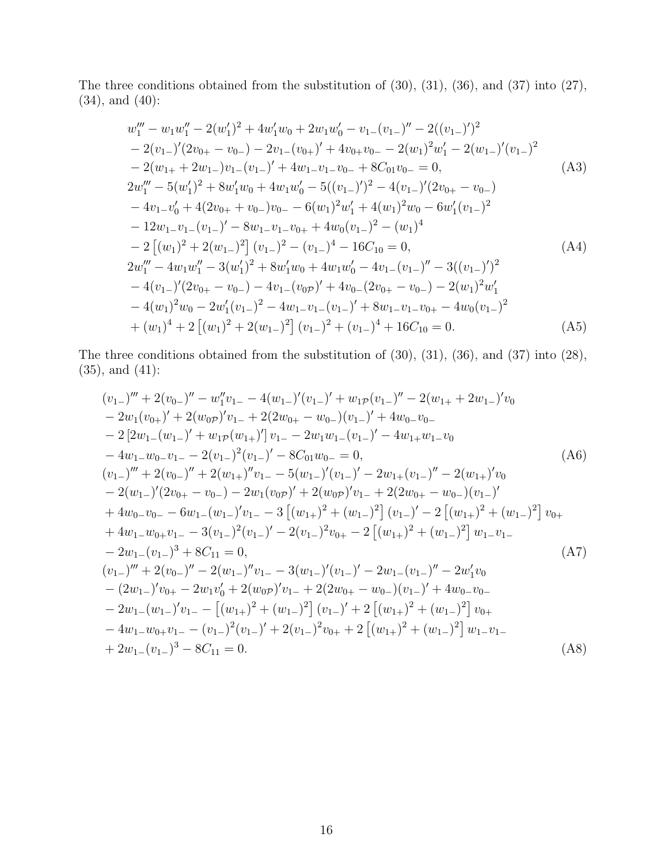The three conditions obtained from the substitution of (30), (31), (36), and (37) into (27), (34), and (40):

$$
w_1''' - w_1 w_1'' - 2(w_1')^2 + 4w_1' w_0 + 2w_1 w_0' - v_{1-}(v_{1-})'' - 2((v_{1-})')^2
$$
  
\n
$$
- 2(v_{1-})'(2v_{0+} - v_{0-}) - 2v_{1-}(v_{0+})' + 4v_{0+}v_{0-} - 2(w_1)^2 w_1' - 2(w_{1-})'(v_{1-})^2
$$
  
\n
$$
- 2(w_{1+} + 2w_{1-})v_{1-}(v_{1-})' + 4w_{1-}v_{1-}v_{0-} + 8C_{01}v_{0-} = 0,
$$
  
\n
$$
2w_1''' - 5(w_1')^2 + 8w_1' w_0 + 4w_1 w_0' - 5((v_{1-})')^2 - 4(v_{1-})'(2v_{0+} - v_{0-})
$$
  
\n
$$
- 4v_{1-}v_0' + 4(2v_{0+} + v_{0-})v_{0-} - 6(w_1)^2 w_1' + 4(w_1)^2 w_0 - 6w_1'(v_{1-})^2
$$
  
\n
$$
- 12w_{1-}v_{1-}(v_{1-})' - 8w_{1-}v_{1-}v_{0+} + 4w_0(v_{1-})^2 - (w_1)^4
$$
  
\n
$$
- 2 [(w_1)^2 + 2(w_{1-})^2] (v_{1-})^2 - (v_{1-})^4 - 16C_{10} = 0,
$$
  
\n
$$
2w_1''' - 4w_1 w_1'' - 3(w_1')^2 + 8w_1' w_0 + 4w_1 w_0' - 4v_{1-}(v_{1-})'' - 3((v_{1-})')^2
$$
  
\n
$$
- 4(v_{1-})'(2v_{0+} - v_{0-}) - 4v_{1-}(v_{0p})' + 4v_{0-}(2v_{0+} - v_{0-}) - 2(w_1)^2 w_1'
$$
  
\n
$$
- 4(w_1)^2 w_0 - 2w_1'(v_{1-})^2 - 4w_{1-}v_{1-}(v_{1-})' + 8w_{1-}v_{1-}v_{0+} - 4w_0(v
$$

The three conditions obtained from the substitution of (30), (31), (36), and (37) into (28), (35), and (41):

$$
(v_{1-})''' + 2(v_{0-})'' - w_{1}''v_{1-} - 4(w_{1-})'(v_{1-})' + w_{1P}(v_{1-})'' - 2(w_{1+} + 2w_{1-})'v_{0}
$$
  
\n
$$
- 2w_{1}(v_{0+})' + 2(w_{0P})'v_{1-} + 2(2w_{0+} - w_{0-})(v_{1-})' + 4w_{0-}v_{0-}
$$
  
\n
$$
- 2[2w_{1-}(w_{1-})' + w_{1P}(w_{1+})']v_{1-} - 2w_{1}w_{1-}(v_{1-})' - 4w_{1+}w_{1-}v_{0}
$$
  
\n
$$
- 4w_{1-}w_{0-}v_{1-} - 2(v_{1-})^{2}(v_{1-})' - 8C_{01}w_{0-} = 0,
$$
  
\n
$$
(v_{1-})''' + 2(v_{0-})'' + 2(w_{1+})''v_{1-} - 5(w_{1-})'(v_{1-})' - 2w_{1+}(v_{1-})'' - 2(w_{1+})'v_{0}
$$
  
\n
$$
- 2(w_{1-})'(2v_{0+} - v_{0-}) - 2w_{1}(v_{0P})' + 2(w_{0P})'v_{1-} + 2(2w_{0+} - w_{0-})(v_{1-})'
$$
  
\n
$$
+ 4w_{0-}v_{0-} - 6w_{1-}(w_{1-})'v_{1-} - 3[(w_{1+})^{2} + (w_{1-})^{2}](v_{1-})' - 2[(w_{1+})^{2} + (w_{1-})^{2}]v_{0+}
$$
  
\n
$$
+ 4w_{1-}w_{0+}v_{1-} - 3(v_{1-})^{2}(v_{1-})' - 2(v_{1-})^{2}v_{0+} - 2[(w_{1+})^{2} + (w_{1-})^{2}]w_{1-}v_{1-}
$$
  
\n
$$
- 2w_{1-}(v_{1-})^{3} + 8C_{11} = 0,
$$
  
\n
$$
(v_{1-})''' + 2(v_{0-})'' - 2(w_{1-})''v_{1-} - 3(w_{1-})'(v_{1-})' - 2w_{1-}(v_{1-})'' - 2w'_{
$$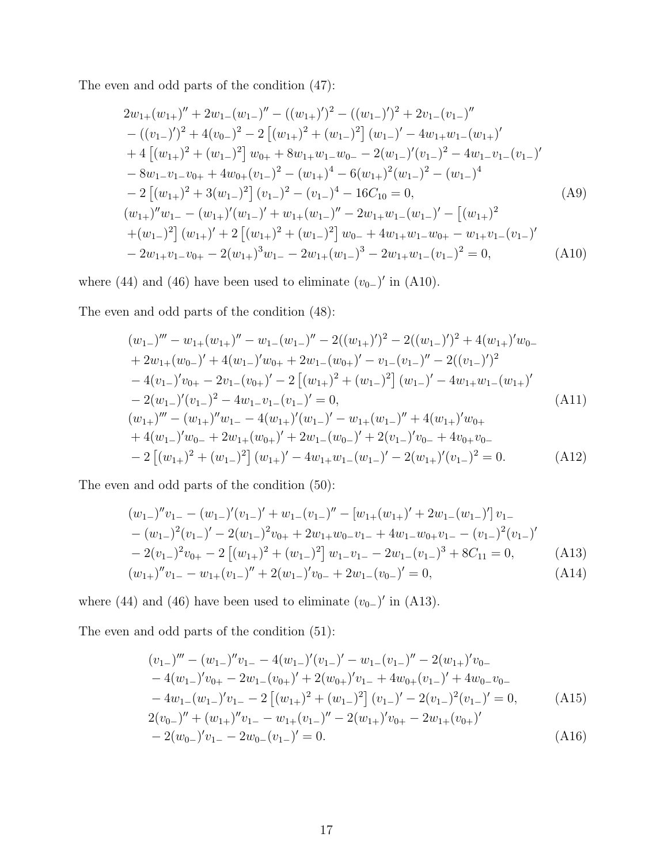The even and odd parts of the condition (47):

$$
2w_{1+}(w_{1+})'' + 2w_{1-}(w_{1-})'' - ((w_{1+})')^{2} - ((w_{1-})')^{2} + 2v_{1-}(v_{1-})''
$$
  
\n
$$
- ((v_{1-})')^{2} + 4(v_{0-})^{2} - 2 [(w_{1+})^{2} + (w_{1-})^{2}] (w_{1-})' - 4w_{1+}w_{1-}(w_{1+})'
$$
  
\n
$$
+ 4 [(w_{1+})^{2} + (w_{1-})^{2}] w_{0+} + 8w_{1+}w_{1-}w_{0-} - 2(w_{1-})'(v_{1-})^{2} - 4w_{1-}v_{1-}(v_{1-})'
$$
  
\n
$$
- 8w_{1-}v_{1-}v_{0+} + 4w_{0+}(v_{1-})^{2} - (w_{1+})^{4} - 6(w_{1+})^{2}(w_{1-})^{2} - (w_{1-})^{4}
$$
  
\n
$$
- 2 [(w_{1+})^{2} + 3(w_{1-})^{2}] (v_{1-})^{2} - (v_{1-})^{4} - 16C_{10} = 0,
$$
  
\n
$$
(w_{1+})''w_{1-} - (w_{1+})'(w_{1-})' + w_{1+}(w_{1-})'' - 2w_{1+}w_{1-}(w_{1-})' - [(w_{1+})^{2} + (w_{1-})^{2}] (w_{1+})' + 2 [(w_{1+})^{2} + (w_{1-})^{2}] w_{0-} + 4w_{1+}w_{1-}w_{0+} - w_{1+}v_{1-}(v_{1-})'
$$
  
\n
$$
- 2w_{1+}v_{1-}v_{0+} - 2(w_{1+})^{3}w_{1-} - 2w_{1+}(w_{1-})^{3} - 2w_{1+}w_{1-}(v_{1-})^{2} = 0,
$$
  
\n(A10)

where (44) and (46) have been used to eliminate  $(v_{0-})'$  in (A10).

The even and odd parts of the condition (48):

$$
(w_{1-})''' - w_{1+}(w_{1+})'' - w_{1-}(w_{1-})'' - 2((w_{1+})')^{2} - 2((w_{1-})')^{2} + 4(w_{1+})'w_{0-}
$$
  
+ 2w\_{1+}(w\_{0-})' + 4(w\_{1-})'w\_{0+} + 2w\_{1-}(w\_{0+})' - v\_{1-}(v\_{1-})'' - 2((v\_{1-})')^{2}  
- 4(v\_{1-})'v\_{0+} - 2v\_{1-}(v\_{0+})' - 2[(w\_{1+})^{2} + (w\_{1-})^{2}](w\_{1-})' - 4w\_{1+}w\_{1-}(w\_{1+})'  
- 2(w\_{1-})'(v\_{1-})^{2} - 4w\_{1-}v\_{1-}(v\_{1-})' = 0,  
(w\_{1+})''' - (w\_{1+})''w\_{1-} - 4(w\_{1+})'(w\_{1-})' - w\_{1+}(w\_{1-})'' + 4(w\_{1+})'w\_{0+}  
+ 4(w\_{1-})'w\_{0-} + 2w\_{1+}(w\_{0+})' + 2w\_{1-}(w\_{0-})' + 2(v\_{1-})'v\_{0-} + 4v\_{0+}v\_{0-}  
- 2 [(w\_{1+})^{2} + (w\_{1-})^{2}](w\_{1+})' - 4w\_{1+}w\_{1-}(w\_{1-})' - 2(w\_{1+})'(v\_{1-})^{2} = 0. (A12)

The even and odd parts of the condition (50):

$$
(w_{1-})''v_{1-} - (w_{1-})'(v_{1-})' + w_{1-}(v_{1-})'' - [w_{1+}(w_{1+})' + 2w_{1-}(w_{1-})']v_{1-}
$$
  
\n
$$
- (w_{1-})^{2}(v_{1-})' - 2(w_{1-})^{2}v_{0+} + 2w_{1+}w_{0-}v_{1-} + 4w_{1-}w_{0+}v_{1-} - (v_{1-})^{2}(v_{1-})'
$$
  
\n
$$
- 2(v_{1-})^{2}v_{0+} - 2 [(w_{1+})^{2} + (w_{1-})^{2}] w_{1-}v_{1-} - 2w_{1-}(v_{1-})^{3} + 8C_{11} = 0,
$$
  
\n
$$
(w_{1+})''v_{1-} - w_{1+}(v_{1-})'' + 2(w_{1-})'v_{0-} + 2w_{1-}(v_{0-})' = 0,
$$
  
\n(A14)

where (44) and (46) have been used to eliminate  $(v_{0-})'$  in (A13).

The even and odd parts of the condition (51):

$$
(v_{1-})''' - (w_{1-})''v_{1-} - 4(w_{1-})'(v_{1-})' - w_{1-}(v_{1-})'' - 2(w_{1+})'v_{0-}
$$
  
\n
$$
- 4(w_{1-})'v_{0+} - 2w_{1-}(v_{0+})' + 2(w_{0+})'v_{1-} + 4w_{0+}(v_{1-})' + 4w_{0-}v_{0-}
$$
  
\n
$$
- 4w_{1-}(w_{1-})'v_{1-} - 2[(w_{1+})^2 + (w_{1-})^2](v_{1-})' - 2(v_{1-})^2(v_{1-})' = 0,
$$
  
\n
$$
2(v_{0-})'' + (w_{1+})''v_{1-} - w_{1+}(v_{1-})'' - 2(w_{1+})'v_{0+} - 2w_{1+}(v_{0+})'
$$
  
\n
$$
- 2(w_{0-})'v_{1-} - 2w_{0-}(v_{1-})' = 0.
$$
\n(A16)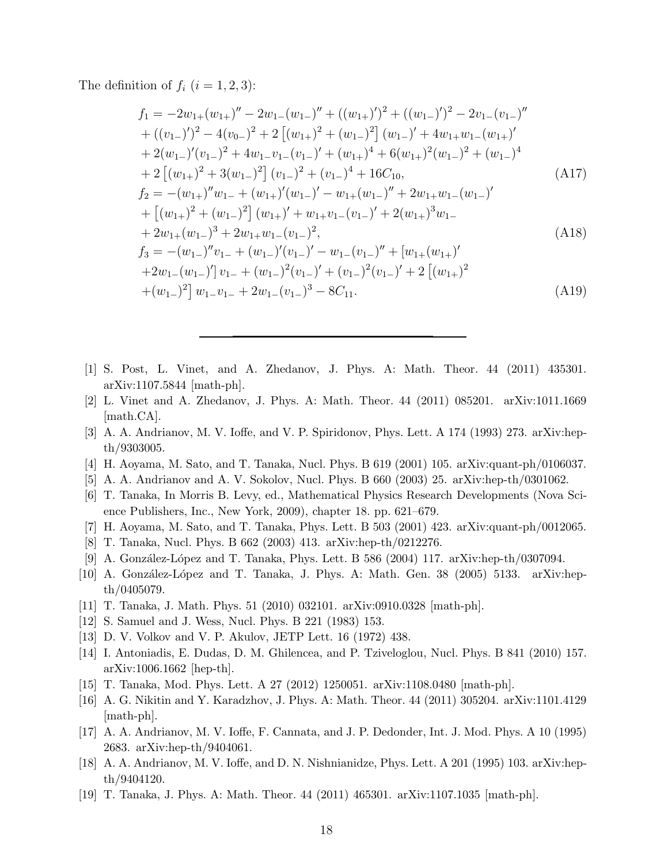The definition of  $f_i$   $(i = 1, 2, 3)$ :

$$
f_1 = -2w_{1+}(w_{1+})'' - 2w_{1-}(w_{1-})'' + ((w_{1+})')^2 + ((w_{1-})')^2 - 2v_{1-}(v_{1-})''
$$
  
+  $((v_{1-})')^2 - 4(v_{0-})^2 + 2 [(w_{1+})^2 + (w_{1-})^2] (w_{1-})' + 4w_{1+}w_{1-}(w_{1+})'$   
+  $2(w_{1-})'(v_{1-})^2 + 4w_{1-}v_{1-}(v_{1-})' + (w_{1+})^4 + 6(w_{1+})^2(w_{1-})^2 + (w_{1-})^4$   
+  $2 [(w_{1+})^2 + 3(w_{1-})^2] (v_{1-})^2 + (v_{1-})^4 + 16C_{10},$  (A17)  

$$
f_2 = -(w_{1+})''w_{1-} + (w_{1+})'(w_{1-})' - w_{1+}(w_{1-})'' + 2w_{1+}w_{1-}(w_{1-})'
$$
  
+ 
$$
[(w_{1+})^2 + (w_{1-})^2] (w_{1+})' + w_{1+}v_{1-}(v_{1-})' + 2(w_{1+})^3w_{1-}
$$
  
+  $2w_{1+}(w_{1-})^3 + 2w_{1+}w_{1-}(v_{1-})^2,$  (A18)  

$$
f_3 = -(w_{1-})''v_{1-} + (w_{1-})'(v_{1-})' - w_{1-}(v_{1-})'' + [w_{1+}(w_{1+})'
$$
  
+  $2w_{1-}(w_{1-})'] v_{1-} + (w_{1-})^2(v_{1-})' + (v_{1-})^2(v_{1-})' + 2 [(w_{1+})^2$   
+ $(w_{1-})^2] w_{1-}v_{1-} + 2w_{1-}(v_{1-})^3 - 8C_{11}.$  (A19)

- [1] S. Post, L. Vinet, and A. Zhedanov, J. Phys. A: Math. Theor. 44 (2011) 435301. arXiv:1107.5844 [math-ph].
- [2] L. Vinet and A. Zhedanov, J. Phys. A: Math. Theor. 44 (2011) 085201. arXiv:1011.1669 [math.CA].
- [3] A. A. Andrianov, M. V. Ioffe, and V. P. Spiridonov, Phys. Lett. A 174 (1993) 273. arXiv:hepth/9303005.
- [4] H. Aoyama, M. Sato, and T. Tanaka, Nucl. Phys. B 619 (2001) 105. arXiv:quant-ph/0106037.
- [5] A. A. Andrianov and A. V. Sokolov, Nucl. Phys. B 660 (2003) 25. arXiv:hep-th/0301062.
- [6] T. Tanaka, In Morris B. Levy, ed., Mathematical Physics Research Developments (Nova Science Publishers, Inc., New York, 2009), chapter 18. pp. 621–679.
- [7] H. Aoyama, M. Sato, and T. Tanaka, Phys. Lett. B 503 (2001) 423. arXiv:quant-ph/0012065.
- [8] T. Tanaka, Nucl. Phys. B 662 (2003) 413. arXiv:hep-th/0212276.
- [9] A. González-López and T. Tanaka, Phys. Lett. B 586 (2004) 117. arXiv:hep-th/0307094.
- [10] A. González-López and T. Tanaka, J. Phys. A: Math. Gen. 38 (2005) 5133. arXiv:hepth/0405079.
- [11] T. Tanaka, J. Math. Phys. 51 (2010) 032101. arXiv:0910.0328 [math-ph].
- [12] S. Samuel and J. Wess, Nucl. Phys. B 221 (1983) 153.
- [13] D. V. Volkov and V. P. Akulov, JETP Lett. 16 (1972) 438.
- [14] I. Antoniadis, E. Dudas, D. M. Ghilencea, and P. Tziveloglou, Nucl. Phys. B 841 (2010) 157. arXiv:1006.1662 [hep-th].
- [15] T. Tanaka, Mod. Phys. Lett. A 27 (2012) 1250051. arXiv:1108.0480 [math-ph].
- [16] A. G. Nikitin and Y. Karadzhov, J. Phys. A: Math. Theor. 44 (2011) 305204. arXiv:1101.4129 [math-ph].
- [17] A. A. Andrianov, M. V. Ioffe, F. Cannata, and J. P. Dedonder, Int. J. Mod. Phys. A 10 (1995) 2683. arXiv:hep-th/9404061.
- [18] A. A. Andrianov, M. V. Ioffe, and D. N. Nishnianidze, Phys. Lett. A 201 (1995) 103. arXiv:hepth/9404120.
- [19] T. Tanaka, J. Phys. A: Math. Theor. 44 (2011) 465301. arXiv:1107.1035 [math-ph].